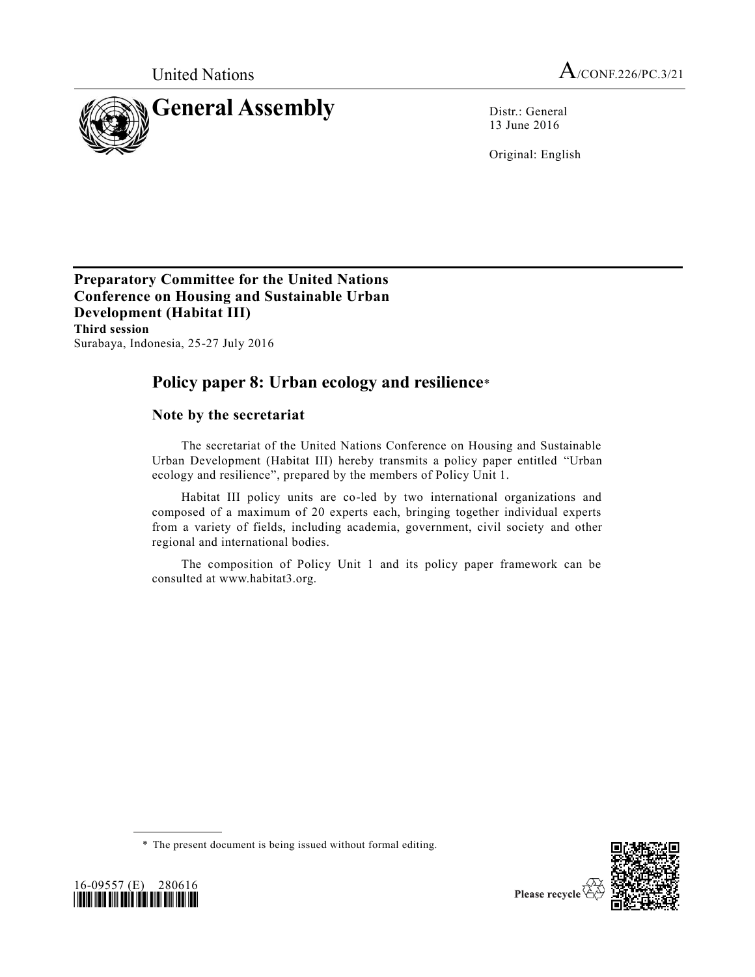

13 June 2016

Original: English

**Preparatory Committee for the United Nations Conference on Housing and Sustainable Urban Development (Habitat III) Third session** Surabaya, Indonesia, 25-27 July 2016

# **Policy paper 8: Urban ecology and resilience**\*

### **Note by the secretariat**

The secretariat of the United Nations Conference on Housing and Sustainable Urban Development (Habitat III) hereby transmits a policy paper entitled "Urban ecology and resilience", prepared by the members of Policy Unit 1.

Habitat III policy units are co-led by two international organizations and composed of a maximum of 20 experts each, bringing together individual experts from a variety of fields, including academia, government, civil society and other regional and international bodies.

The composition of Policy Unit 1 and its policy paper framework can be consulted at www.habitat3.org.





<sup>\*</sup> The present document is being issued without formal editing.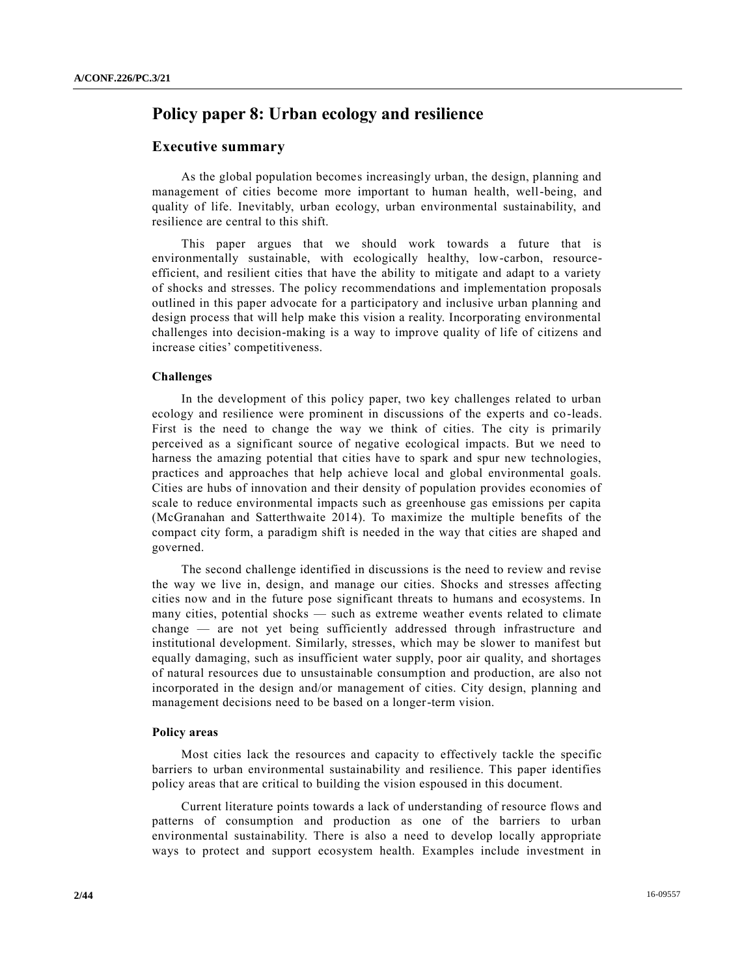## **Policy paper 8: Urban ecology and resilience**

### **Executive summary**

As the global population becomes increasingly urban, the design, planning and management of cities become more important to human health, well-being, and quality of life. Inevitably, urban ecology, urban environmental sustainability, and resilience are central to this shift.

This paper argues that we should work towards a future that is environmentally sustainable, with ecologically healthy, low-carbon, resourceefficient, and resilient cities that have the ability to mitigate and adapt to a variety of shocks and stresses. The policy recommendations and implementation proposals outlined in this paper advocate for a participatory and inclusive urban planning and design process that will help make this vision a reality. Incorporating environmental challenges into decision-making is a way to improve quality of life of citizens and increase cities' competitiveness.

### **Challenges**

In the development of this policy paper, two key challenges related to urban ecology and resilience were prominent in discussions of the experts and co-leads. First is the need to change the way we think of cities. The city is primarily perceived as a significant source of negative ecological impacts. But we need to harness the amazing potential that cities have to spark and spur new technologies, practices and approaches that help achieve local and global environmental goals. Cities are hubs of innovation and their density of population provides economies of scale to reduce environmental impacts such as greenhouse gas emissions per capita (McGranahan and Satterthwaite 2014). To maximize the multiple benefits of the compact city form, a paradigm shift is needed in the way that cities are shaped and governed.

The second challenge identified in discussions is the need to review and revise the way we live in, design, and manage our cities. Shocks and stresses affecting cities now and in the future pose significant threats to humans and ecosystems. In many cities, potential shocks — such as extreme weather events related to climate change — are not yet being sufficiently addressed through infrastructure and institutional development. Similarly, stresses, which may be slower to manifest but equally damaging, such as insufficient water supply, poor air quality, and shortages of natural resources due to unsustainable consumption and production, are also not incorporated in the design and/or management of cities. City design, planning and management decisions need to be based on a longer-term vision.

#### **Policy areas**

Most cities lack the resources and capacity to effectively tackle the specific barriers to urban environmental sustainability and resilience. This paper identifies policy areas that are critical to building the vision espoused in this document.

Current literature points towards a lack of understanding of resource flows and patterns of consumption and production as one of the barriers to urban environmental sustainability. There is also a need to develop locally appropriate ways to protect and support ecosystem health. Examples include investment in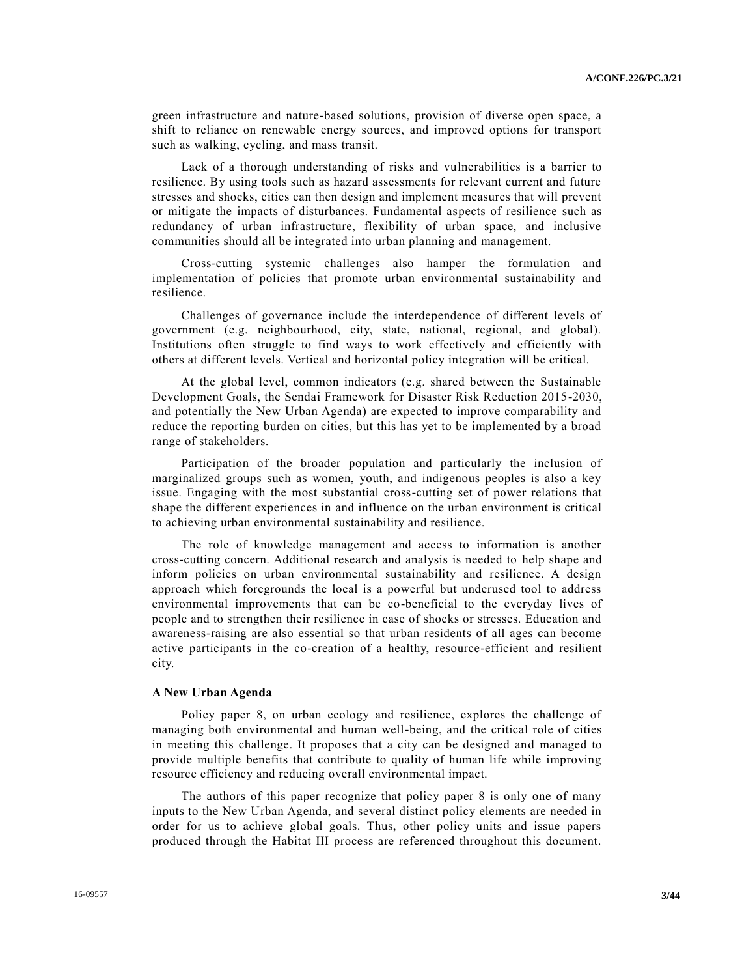green infrastructure and nature-based solutions, provision of diverse open space, a shift to reliance on renewable energy sources, and improved options for transport such as walking, cycling, and mass transit.

Lack of a thorough understanding of risks and vulnerabilities is a barrier to resilience. By using tools such as hazard assessments for relevant current and future stresses and shocks, cities can then design and implement measures that will prevent or mitigate the impacts of disturbances. Fundamental aspects of resilience such as redundancy of urban infrastructure, flexibility of urban space, and inclusive communities should all be integrated into urban planning and management.

Cross-cutting systemic challenges also hamper the formulation and implementation of policies that promote urban environmental sustainability and resilience.

Challenges of governance include the interdependence of different levels of government (e.g. neighbourhood, city, state, national, regional, and global). Institutions often struggle to find ways to work effectively and efficiently with others at different levels. Vertical and horizontal policy integration will be critical.

At the global level, common indicators (e.g. shared between the Sustainable Development Goals, the Sendai Framework for Disaster Risk Reduction 2015-2030, and potentially the New Urban Agenda) are expected to improve comparability and reduce the reporting burden on cities, but this has yet to be implemented by a broad range of stakeholders.

Participation of the broader population and particularly the inclusion of marginalized groups such as women, youth, and indigenous peoples is also a key issue. Engaging with the most substantial cross-cutting set of power relations that shape the different experiences in and influence on the urban environment is critical to achieving urban environmental sustainability and resilience.

The role of knowledge management and access to information is another cross-cutting concern. Additional research and analysis is needed to help shape and inform policies on urban environmental sustainability and resilience. A design approach which foregrounds the local is a powerful but underused tool to address environmental improvements that can be co-beneficial to the everyday lives of people and to strengthen their resilience in case of shocks or stresses. Education and awareness-raising are also essential so that urban residents of all ages can become active participants in the co-creation of a healthy, resource-efficient and resilient city.

### **A New Urban Agenda**

Policy paper 8, on urban ecology and resilience, explores the challenge of managing both environmental and human well-being, and the critical role of cities in meeting this challenge. It proposes that a city can be designed and managed to provide multiple benefits that contribute to quality of human life while improving resource efficiency and reducing overall environmental impact.

The authors of this paper recognize that policy paper 8 is only one of many inputs to the New Urban Agenda, and several distinct policy elements are needed in order for us to achieve global goals. Thus, other policy units and issue papers produced through the Habitat III process are referenced throughout this document.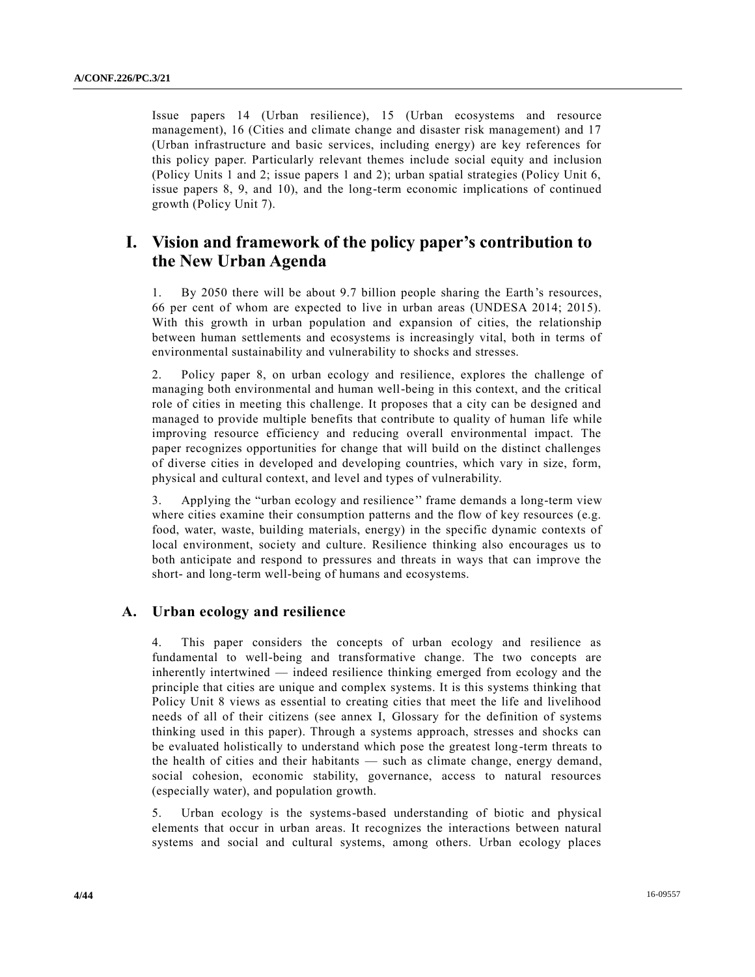Issue papers 14 (Urban resilience), 15 (Urban ecosystems and resource management), 16 (Cities and climate change and disaster risk management) and 17 (Urban infrastructure and basic services, including energy) are key references for this policy paper. Particularly relevant themes include social equity and inclusion (Policy Units 1 and 2; issue papers 1 and 2); urban spatial strategies (Policy Unit 6, issue papers 8, 9, and 10), and the long-term economic implications of continued growth (Policy Unit 7).

# **I. Vision and framework of the policy paper's contribution to the New Urban Agenda**

1. By 2050 there will be about 9.7 billion people sharing the Earth's resources, 66 per cent of whom are expected to live in urban areas (UNDESA 2014; 2015). With this growth in urban population and expansion of cities, the relationship between human settlements and ecosystems is increasingly vital, both in terms of environmental sustainability and vulnerability to shocks and stresses.

2. Policy paper 8, on urban ecology and resilience, explores the challenge of managing both environmental and human well-being in this context, and the critical role of cities in meeting this challenge. It proposes that a city can be designed and managed to provide multiple benefits that contribute to quality of human life while improving resource efficiency and reducing overall environmental impact. The paper recognizes opportunities for change that will build on the distinct challenges of diverse cities in developed and developing countries, which vary in size, form, physical and cultural context, and level and types of vulnerability.

3. Applying the "urban ecology and resilience'' frame demands a long-term view where cities examine their consumption patterns and the flow of key resources (e.g. food, water, waste, building materials, energy) in the specific dynamic contexts of local environment, society and culture. Resilience thinking also encourages us to both anticipate and respond to pressures and threats in ways that can improve the short- and long-term well-being of humans and ecosystems.

### **A. Urban ecology and resilience**

4. This paper considers the concepts of urban ecology and resilience as fundamental to well-being and transformative change. The two concepts are inherently intertwined — indeed resilience thinking emerged from ecology and the principle that cities are unique and complex systems. It is this systems thinking that Policy Unit 8 views as essential to creating cities that meet the life and livelihood needs of all of their citizens (see annex I, Glossary for the definition of systems thinking used in this paper). Through a systems approach, stresses and shocks can be evaluated holistically to understand which pose the greatest long-term threats to the health of cities and their habitants — such as climate change, energy demand, social cohesion, economic stability, governance, access to natural resources (especially water), and population growth.

5. Urban ecology is the systems-based understanding of biotic and physical elements that occur in urban areas. It recognizes the interactions between natural systems and social and cultural systems, among others. Urban ecology places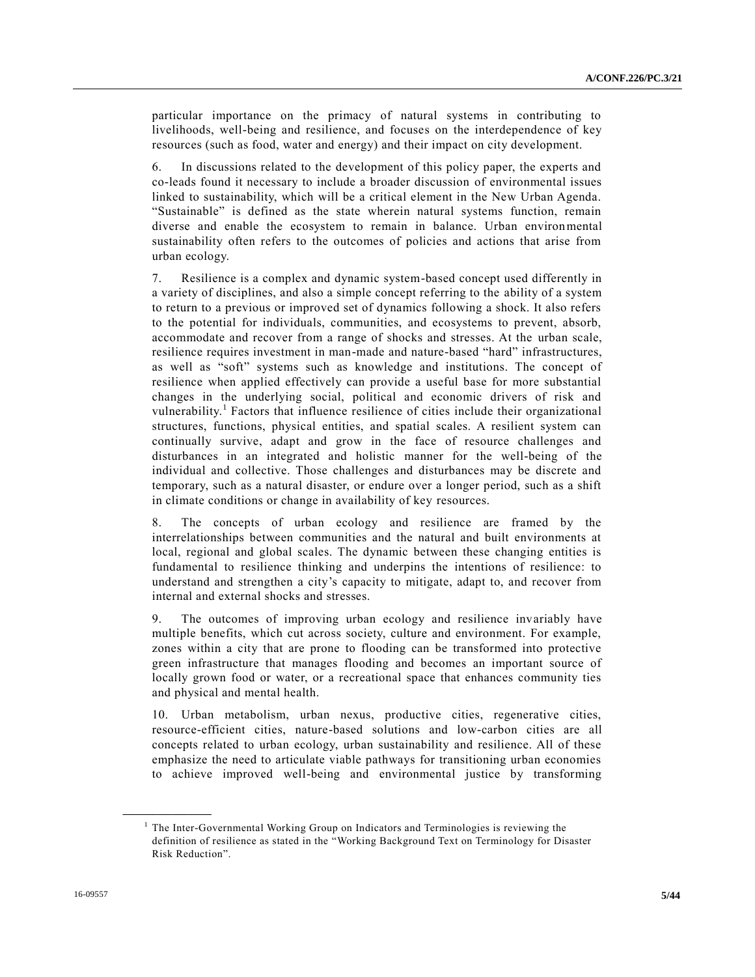particular importance on the primacy of natural systems in contributing to livelihoods, well-being and resilience, and focuses on the interdependence of key resources (such as food, water and energy) and their impact on city development.

6. In discussions related to the development of this policy paper, the experts and co-leads found it necessary to include a broader discussion of environmental issues linked to sustainability, which will be a critical element in the New Urban Agenda. "Sustainable" is defined as the state wherein natural systems function, remain diverse and enable the ecosystem to remain in balance. Urban environmental sustainability often refers to the outcomes of policies and actions that arise from urban ecology.

7. Resilience is a complex and dynamic system-based concept used differently in a variety of disciplines, and also a simple concept referring to the ability of a system to return to a previous or improved set of dynamics following a shock. It also refers to the potential for individuals, communities, and ecosystems to prevent, absorb, accommodate and recover from a range of shocks and stresses. At the urban scale, resilience requires investment in man-made and nature-based "hard" infrastructures, as well as "soft" systems such as knowledge and institutions. The concept of resilience when applied effectively can provide a useful base for more substantial changes in the underlying social, political and economic drivers of risk and vulnerability.<sup>1</sup> Factors that influence resilience of cities include their organizational structures, functions, physical entities, and spatial scales. A resilient system can continually survive, adapt and grow in the face of resource challenges and disturbances in an integrated and holistic manner for the well-being of the individual and collective. Those challenges and disturbances may be discrete and temporary, such as a natural disaster, or endure over a longer period, such as a shift in climate conditions or change in availability of key resources.

8. The concepts of urban ecology and resilience are framed by the interrelationships between communities and the natural and built environments at local, regional and global scales. The dynamic between these changing entities is fundamental to resilience thinking and underpins the intentions of resilience: to understand and strengthen a city's capacity to mitigate, adapt to, and recover from internal and external shocks and stresses.

9. The outcomes of improving urban ecology and resilience invariably have multiple benefits, which cut across society, culture and environment. For example, zones within a city that are prone to flooding can be transformed into protective green infrastructure that manages flooding and becomes an important source of locally grown food or water, or a recreational space that enhances community ties and physical and mental health.

10. Urban metabolism, urban nexus, productive cities, regenerative cities, resource-efficient cities, nature-based solutions and low-carbon cities are all concepts related to urban ecology, urban sustainability and resilience. All of these emphasize the need to articulate viable pathways for transitioning urban economies to achieve improved well-being and environmental justice by transforming

**\_\_\_\_\_\_\_\_\_\_\_\_\_\_\_\_\_\_**

<sup>&</sup>lt;sup>1</sup> The Inter-Governmental Working Group on Indicators and Terminologies is reviewing the definition of resilience as stated in the "Working Background Text on Terminology for Disaster Risk Reduction".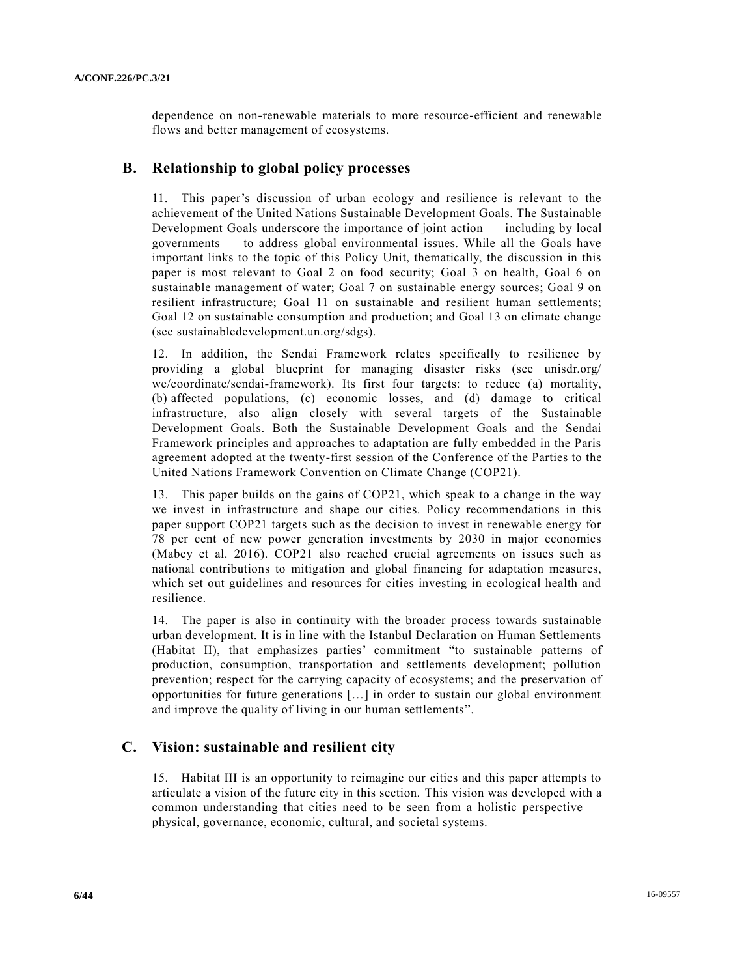dependence on non-renewable materials to more resource-efficient and renewable flows and better management of ecosystems.

### **B. Relationship to global policy processes**

11. This paper's discussion of urban ecology and resilience is relevant to the achievement of the United Nations Sustainable Development Goals. The Sustainable Development Goals underscore the importance of joint action — including by local governments — to address global environmental issues. While all the Goals have important links to the topic of this Policy Unit, thematically, the discussion in this paper is most relevant to Goal 2 on food security; Goal 3 on health, Goal 6 on sustainable management of water; Goal 7 on sustainable energy sources; Goal 9 on resilient infrastructure; Goal 11 on sustainable and resilient human settlements; Goal 12 on sustainable consumption and production; and Goal 13 on climate change (see sustainabledevelopment.un.org/sdgs).

12. In addition, the Sendai Framework relates specifically to resilience by providing a global blueprint for managing disaster risks (see unisdr.org/ we/coordinate/sendai-framework). Its first four targets: to reduce (a) mortality, (b) affected populations, (c) economic losses, and (d) damage to critical infrastructure, also align closely with several targets of the Sustainable Development Goals. Both the Sustainable Development Goals and the Sendai Framework principles and approaches to adaptation are fully embedded in the Paris agreement adopted at the twenty-first session of the Conference of the Parties to the United Nations Framework Convention on Climate Change (COP21).

13. This paper builds on the gains of COP21, which speak to a change in the way we invest in infrastructure and shape our cities. Policy recommendations in this paper support COP21 targets such as the decision to invest in renewable energy for 78 per cent of new power generation investments by 2030 in major economies (Mabey et al. 2016). COP21 also reached crucial agreements on issues such as national contributions to mitigation and global financing for adaptation measures, which set out guidelines and resources for cities investing in ecological health and resilience.

14. The paper is also in continuity with the broader process towards sustainable urban development. It is in line with the Istanbul Declaration on Human Settlements (Habitat II), that emphasizes parties' commitment "to sustainable patterns of production, consumption, transportation and settlements development; pollution prevention; respect for the carrying capacity of ecosystems; and the preservation of opportunities for future generations […] in order to sustain our global environment and improve the quality of living in our human settlements".

### **C. Vision: sustainable and resilient city**

15. Habitat III is an opportunity to reimagine our cities and this paper attempts to articulate a vision of the future city in this section. This vision was developed with a common understanding that cities need to be seen from a holistic perspective physical, governance, economic, cultural, and societal systems.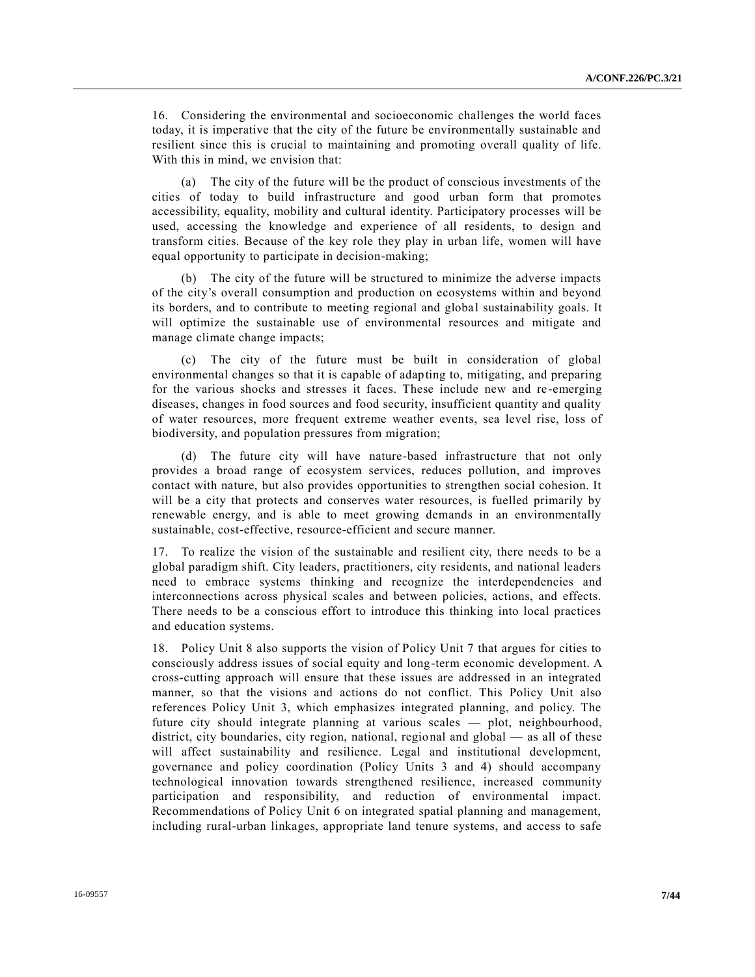16. Considering the environmental and socioeconomic challenges the world faces today, it is imperative that the city of the future be environmentally sustainable and resilient since this is crucial to maintaining and promoting overall quality of life. With this in mind, we envision that:

(a) The city of the future will be the product of conscious investments of the cities of today to build infrastructure and good urban form that promotes accessibility, equality, mobility and cultural identity. Participatory processes will be used, accessing the knowledge and experience of all residents, to design and transform cities. Because of the key role they play in urban life, women will have equal opportunity to participate in decision-making;

(b) The city of the future will be structured to minimize the adverse impacts of the city's overall consumption and production on ecosystems within and beyond its borders, and to contribute to meeting regional and global sustainability goals. It will optimize the sustainable use of environmental resources and mitigate and manage climate change impacts;

(c) The city of the future must be built in consideration of global environmental changes so that it is capable of adapting to, mitigating, and preparing for the various shocks and stresses it faces. These include new and re -emerging diseases, changes in food sources and food security, insufficient quantity and quality of water resources, more frequent extreme weather events, sea level rise, loss of biodiversity, and population pressures from migration;

(d) The future city will have nature-based infrastructure that not only provides a broad range of ecosystem services, reduces pollution, and improves contact with nature, but also provides opportunities to strengthen social cohesion. It will be a city that protects and conserves water resources, is fuelled primarily by renewable energy, and is able to meet growing demands in an environmentally sustainable, cost-effective, resource-efficient and secure manner.

17. To realize the vision of the sustainable and resilient city, there needs to be a global paradigm shift. City leaders, practitioners, city residents, and national leaders need to embrace systems thinking and recognize the interdependencies and interconnections across physical scales and between policies, actions, and effects. There needs to be a conscious effort to introduce this thinking into local practices and education systems.

18. Policy Unit 8 also supports the vision of Policy Unit 7 that argues for cities to consciously address issues of social equity and long-term economic development. A cross-cutting approach will ensure that these issues are addressed in an integrated manner, so that the visions and actions do not conflict. This Policy Unit also references Policy Unit 3, which emphasizes integrated planning, and policy. The future city should integrate planning at various scales — plot, neighbourhood, district, city boundaries, city region, national, regional and global — as all of these will affect sustainability and resilience. Legal and institutional development, governance and policy coordination (Policy Units 3 and 4) should accompany technological innovation towards strengthened resilience, increased community participation and responsibility, and reduction of environmental impact. Recommendations of Policy Unit 6 on integrated spatial planning and management, including rural-urban linkages, appropriate land tenure systems, and access to safe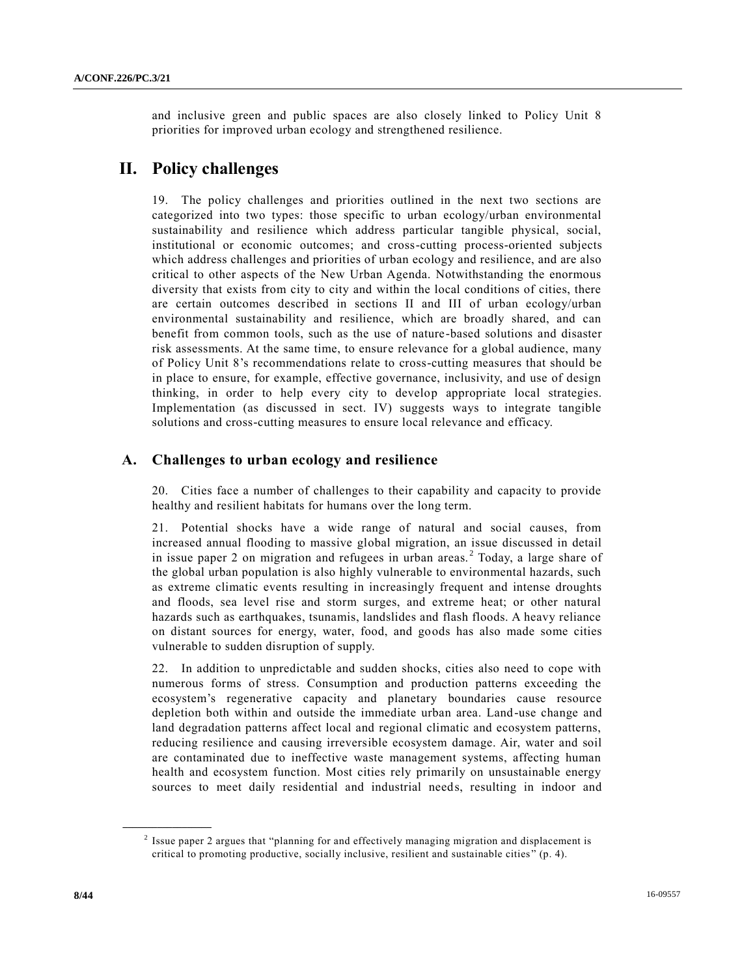and inclusive green and public spaces are also closely linked to Policy Unit 8 priorities for improved urban ecology and strengthened resilience.

# **II. Policy challenges**

19. The policy challenges and priorities outlined in the next two sections are categorized into two types: those specific to urban ecology/urban environmental sustainability and resilience which address particular tangible physical, social, institutional or economic outcomes; and cross-cutting process-oriented subjects which address challenges and priorities of urban ecology and resilience, and are also critical to other aspects of the New Urban Agenda. Notwithstanding the enormous diversity that exists from city to city and within the local conditions of cities, there are certain outcomes described in sections II and III of urban ecology/urban environmental sustainability and resilience, which are broadly shared, and can benefit from common tools, such as the use of nature-based solutions and disaster risk assessments. At the same time, to ensure relevance for a global audience, many of Policy Unit 8's recommendations relate to cross-cutting measures that should be in place to ensure, for example, effective governance, inclusivity, and use of design thinking, in order to help every city to develop appropriate local strategies. Implementation (as discussed in sect. IV) suggests ways to integrate tangible solutions and cross-cutting measures to ensure local relevance and efficacy.

### **A. Challenges to urban ecology and resilience**

20. Cities face a number of challenges to their capability and capacity to provide healthy and resilient habitats for humans over the long term.

21. Potential shocks have a wide range of natural and social causes, from increased annual flooding to massive global migration, an issue discussed in detail in issue paper 2 on migration and refugees in urban areas.<sup>2</sup> Today, a large share of the global urban population is also highly vulnerable to environmental hazards, such as extreme climatic events resulting in increasingly frequent and intense droughts and floods, sea level rise and storm surges, and extreme heat; or other natural hazards such as earthquakes, tsunamis, landslides and flash floods. A heavy reliance on distant sources for energy, water, food, and goods has also made some cities vulnerable to sudden disruption of supply.

22. In addition to unpredictable and sudden shocks, cities also need to cope with numerous forms of stress. Consumption and production patterns exceeding the ecosystem's regenerative capacity and planetary boundaries cause resource depletion both within and outside the immediate urban area. Land-use change and land degradation patterns affect local and regional climatic and ecosystem patterns, reducing resilience and causing irreversible ecosystem damage. Air, water and soil are contaminated due to ineffective waste management systems, affecting human health and ecosystem function. Most cities rely primarily on unsustainable energy sources to meet daily residential and industrial needs, resulting in indoor and

**\_\_\_\_\_\_\_\_\_\_\_\_\_\_\_\_\_\_**

<sup>&</sup>lt;sup>2</sup> Issue paper 2 argues that "planning for and effectively managing migration and displacement is critical to promoting productive, socially inclusive, resilient and sustainable cities " (p. 4).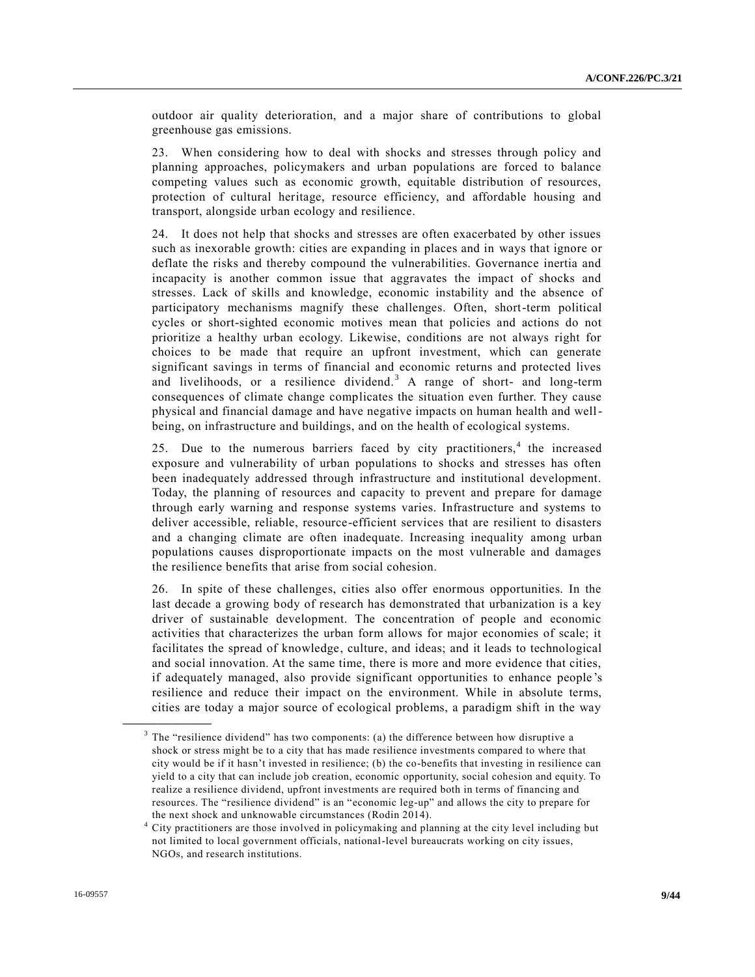outdoor air quality deterioration, and a major share of contributions to global greenhouse gas emissions.

23. When considering how to deal with shocks and stresses through policy and planning approaches, policymakers and urban populations are forced to balance competing values such as economic growth, equitable distribution of resources, protection of cultural heritage, resource efficiency, and affordable housing and transport, alongside urban ecology and resilience.

24. It does not help that shocks and stresses are often exacerbated by other issues such as inexorable growth: cities are expanding in places and in ways that ignore or deflate the risks and thereby compound the vulnerabilities. Governance inertia and incapacity is another common issue that aggravates the impact of shocks and stresses. Lack of skills and knowledge, economic instability and the absence of participatory mechanisms magnify these challenges. Often, short-term political cycles or short-sighted economic motives mean that policies and actions do not prioritize a healthy urban ecology. Likewise, conditions are not always right for choices to be made that require an upfront investment, which can generate significant savings in terms of financial and economic returns and protected lives and livelihoods, or a resilience dividend.<sup>3</sup> A range of short- and long-term consequences of climate change complicates the situation even further. They cause physical and financial damage and have negative impacts on human health and wellbeing, on infrastructure and buildings, and on the health of ecological systems.

25. Due to the numerous barriers faced by city practitioners,<sup>4</sup> the increased exposure and vulnerability of urban populations to shocks and stresses has often been inadequately addressed through infrastructure and institutional development. Today, the planning of resources and capacity to prevent and prepare for damage through early warning and response systems varies. Infrastructure and systems to deliver accessible, reliable, resource-efficient services that are resilient to disasters and a changing climate are often inadequate. Increasing inequality among urban populations causes disproportionate impacts on the most vulnerable and damages the resilience benefits that arise from social cohesion.

26. In spite of these challenges, cities also offer enormous opportunities. In the last decade a growing body of research has demonstrated that urbanization is a key driver of sustainable development. The concentration of people and economic activities that characterizes the urban form allows for major economies of scale; it facilitates the spread of knowledge, culture, and ideas; and it leads to technological and social innovation. At the same time, there is more and more evidence that cities, if adequately managed, also provide significant opportunities to enhance people 's resilience and reduce their impact on the environment. While in absolute terms, cities are today a major source of ecological problems, a paradigm shift in the way

**\_\_\_\_\_\_\_\_\_\_\_\_\_\_\_\_\_\_**

 $3$  The "resilience dividend" has two components: (a) the difference between how disruptive a shock or stress might be to a city that has made resilience investments compared to where that city would be if it hasn't invested in resilience; (b) the co-benefits that investing in resilience can yield to a city that can include job creation, economic opportunity, social cohesion and equity. To realize a resilience dividend, upfront investments are required both in terms of financing and resources. The "resilience dividend" is an "economic leg-up" and allows the city to prepare for the next shock and unknowable circumstances (Rodin 2014).

<sup>4</sup> City practitioners are those involved in policymaking and planning at the city level including but not limited to local government officials, national-level bureaucrats working on city issues, NGOs, and research institutions.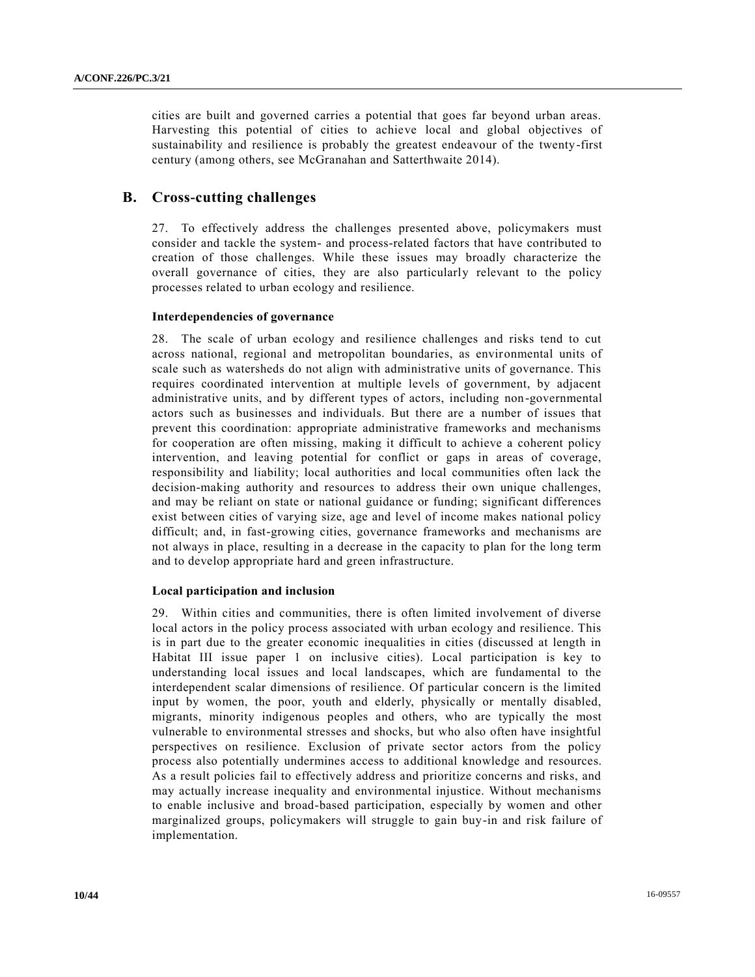cities are built and governed carries a potential that goes far beyond urban areas. Harvesting this potential of cities to achieve local and global objectives of sustainability and resilience is probably the greatest endeavour of the twenty-first century (among others, see McGranahan and Satterthwaite 2014).

### **B. Cross-cutting challenges**

27. To effectively address the challenges presented above, policymakers must consider and tackle the system- and process-related factors that have contributed to creation of those challenges. While these issues may broadly characterize the overall governance of cities, they are also particularly relevant to the policy processes related to urban ecology and resilience.

### **Interdependencies of governance**

28. The scale of urban ecology and resilience challenges and risks tend to cut across national, regional and metropolitan boundaries, as environmental units of scale such as watersheds do not align with administrative units of governance. This requires coordinated intervention at multiple levels of government, by adjacent administrative units, and by different types of actors, including non-governmental actors such as businesses and individuals. But there are a number of issues that prevent this coordination: appropriate administrative frameworks and mechanisms for cooperation are often missing, making it difficult to achieve a coherent policy intervention, and leaving potential for conflict or gaps in areas of coverage, responsibility and liability; local authorities and local communities often lack the decision-making authority and resources to address their own unique challenges, and may be reliant on state or national guidance or funding; significant differences exist between cities of varying size, age and level of income makes national policy difficult; and, in fast-growing cities, governance frameworks and mechanisms are not always in place, resulting in a decrease in the capacity to plan for the long term and to develop appropriate hard and green infrastructure.

### **Local participation and inclusion**

29. Within cities and communities, there is often limited involvement of diverse local actors in the policy process associated with urban ecology and resilience. This is in part due to the greater economic inequalities in cities (discussed at length in Habitat III issue paper 1 on inclusive cities). Local participation is key to understanding local issues and local landscapes, which are fundamental to the interdependent scalar dimensions of resilience. Of particular concern is the limited input by women, the poor, youth and elderly, physically or mentally disabled, migrants, minority indigenous peoples and others, who are typically the most vulnerable to environmental stresses and shocks, but who also often have insightful perspectives on resilience. Exclusion of private sector actors from the policy process also potentially undermines access to additional knowledge and resources. As a result policies fail to effectively address and prioritize concerns and risks, and may actually increase inequality and environmental injustice. Without mechanisms to enable inclusive and broad-based participation, especially by women and other marginalized groups, policymakers will struggle to gain buy-in and risk failure of implementation.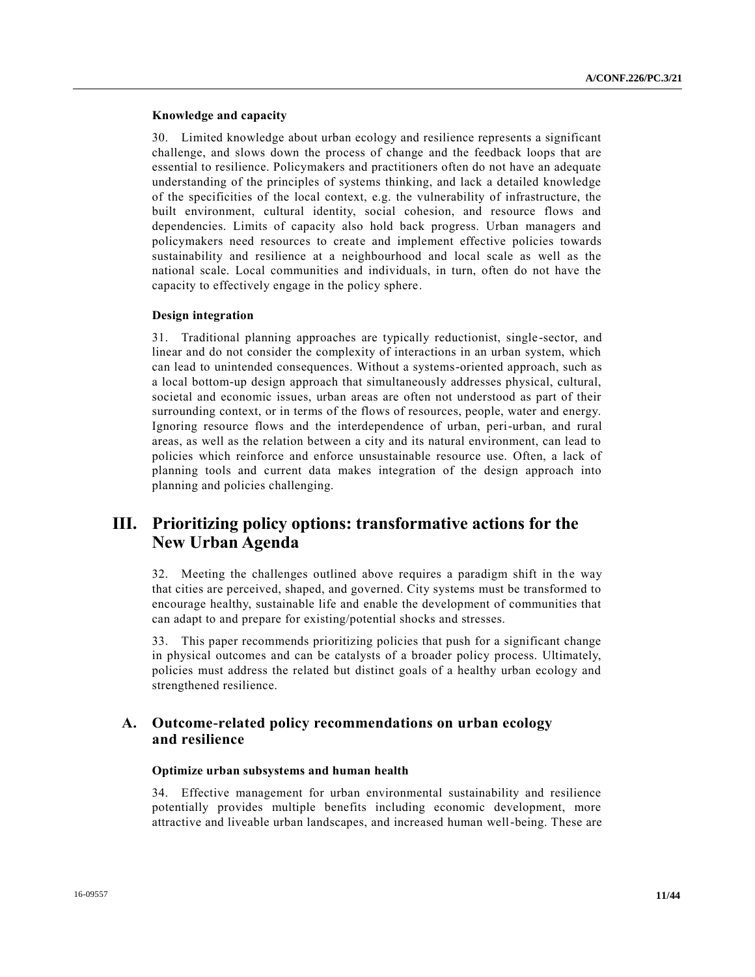### **Knowledge and capacity**

30. Limited knowledge about urban ecology and resilience represents a significant challenge, and slows down the process of change and the feedback loops that are essential to resilience. Policymakers and practitioners often do not have an adequate understanding of the principles of systems thinking, and lack a detailed knowledge of the specificities of the local context, e.g. the vulnerability of infrastructure, the built environment, cultural identity, social cohesion, and resource flows and dependencies. Limits of capacity also hold back progress. Urban managers and policymakers need resources to create and implement effective policies towards sustainability and resilience at a neighbourhood and local scale as well as the national scale. Local communities and individuals, in turn, often do not have the capacity to effectively engage in the policy sphere.

### **Design integration**

31. Traditional planning approaches are typically reductionist, single -sector, and linear and do not consider the complexity of interactions in an urban system, which can lead to unintended consequences. Without a systems-oriented approach, such as a local bottom-up design approach that simultaneously addresses physical, cultural, societal and economic issues, urban areas are often not understood as part of their surrounding context, or in terms of the flows of resources, people, water and energy. Ignoring resource flows and the interdependence of urban, peri-urban, and rural areas, as well as the relation between a city and its natural environment, can lead to policies which reinforce and enforce unsustainable resource use. Often, a lack of planning tools and current data makes integration of the design approach into planning and policies challenging.

# **III. Prioritizing policy options: transformative actions for the New Urban Agenda**

32. Meeting the challenges outlined above requires a paradigm shift in the way that cities are perceived, shaped, and governed. City systems must be transformed to encourage healthy, sustainable life and enable the development of communities that can adapt to and prepare for existing/potential shocks and stresses.

33. This paper recommends prioritizing policies that push for a significant change in physical outcomes and can be catalysts of a broader policy process. Ultimately, policies must address the related but distinct goals of a healthy urban ecology and strengthened resilience.

### **A. Outcome-related policy recommendations on urban ecology and resilience**

### **Optimize urban subsystems and human health**

34. Effective management for urban environmental sustainability and resilience potentially provides multiple benefits including economic development, more attractive and liveable urban landscapes, and increased human well-being. These are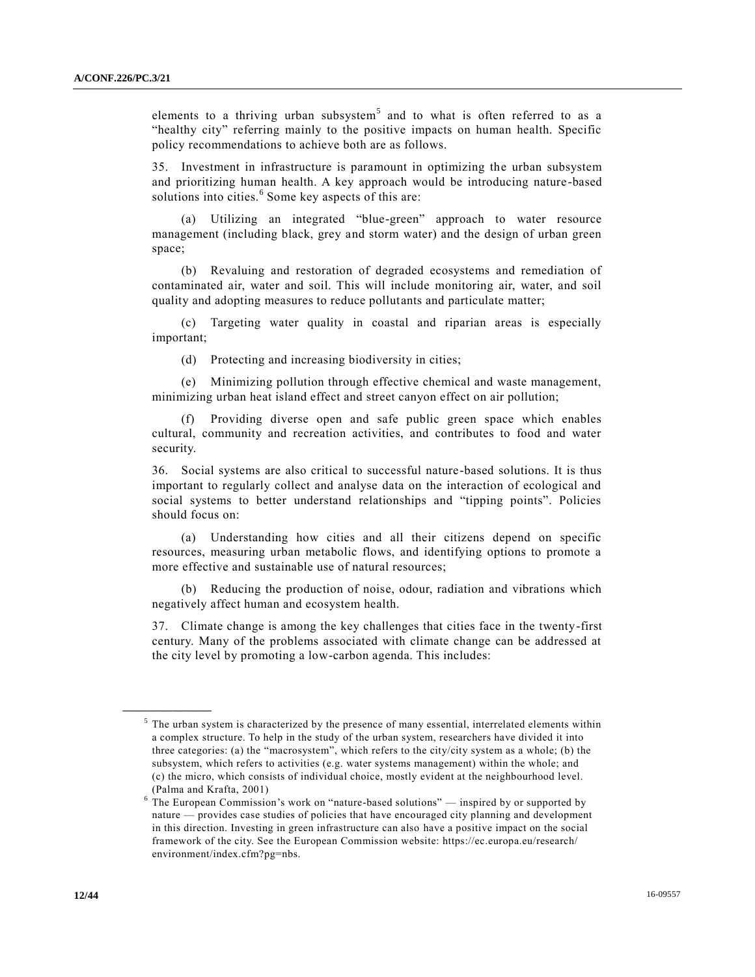elements to a thriving urban subsystem<sup>5</sup> and to what is often referred to as a "healthy city" referring mainly to the positive impacts on human health. Specific policy recommendations to achieve both are as follows.

35. Investment in infrastructure is paramount in optimizing the urban subsystem and prioritizing human health. A key approach would be introducing nature -based solutions into cities.<sup>6</sup> Some key aspects of this are:

(a) Utilizing an integrated "blue-green" approach to water resource management (including black, grey and storm water) and the design of urban green space;

(b) Revaluing and restoration of degraded ecosystems and remediation of contaminated air, water and soil. This will include monitoring air, water, and soil quality and adopting measures to reduce pollutants and particulate matter;

(c) Targeting water quality in coastal and riparian areas is especially important;

(d) Protecting and increasing biodiversity in cities;

(e) Minimizing pollution through effective chemical and waste management, minimizing urban heat island effect and street canyon effect on air pollution;

(f) Providing diverse open and safe public green space which enables cultural, community and recreation activities, and contributes to food and water security.

36. Social systems are also critical to successful nature-based solutions. It is thus important to regularly collect and analyse data on the interaction of ecological and social systems to better understand relationships and "tipping points". Policies should focus on:

(a) Understanding how cities and all their citizens depend on specific resources, measuring urban metabolic flows, and identifying options to promote a more effective and sustainable use of natural resources;

(b) Reducing the production of noise, odour, radiation and vibrations which negatively affect human and ecosystem health.

37. Climate change is among the key challenges that cities face in the twenty-first century. Many of the problems associated with climate change can be addressed at the city level by promoting a low-carbon agenda. This includes:

**\_\_\_\_\_\_\_\_\_\_\_\_\_\_\_\_\_\_**

 $5$  The urban system is characterized by the presence of many essential, interrelated elements within a complex structure. To help in the study of the urban system, researchers have divided it into three categories: (a) the "macrosystem", which refers to the city/city system as a whole; (b) the subsystem, which refers to activities (e.g. water systems management) within the whole; and (c) the micro, which consists of individual choice, mostly evident at the neighbourhood level. (Palma and Krafta, 2001)

 $6$  The European Commission's work on "nature-based solutions" — inspired by or supported by nature — provides case studies of policies that have encouraged city planning and development in this direction. Investing in green infrastructure can also have a positive impact on the social framework of the city. See the European Commission website: https://ec.europa.eu/research/ environment/index.cfm?pg=nbs.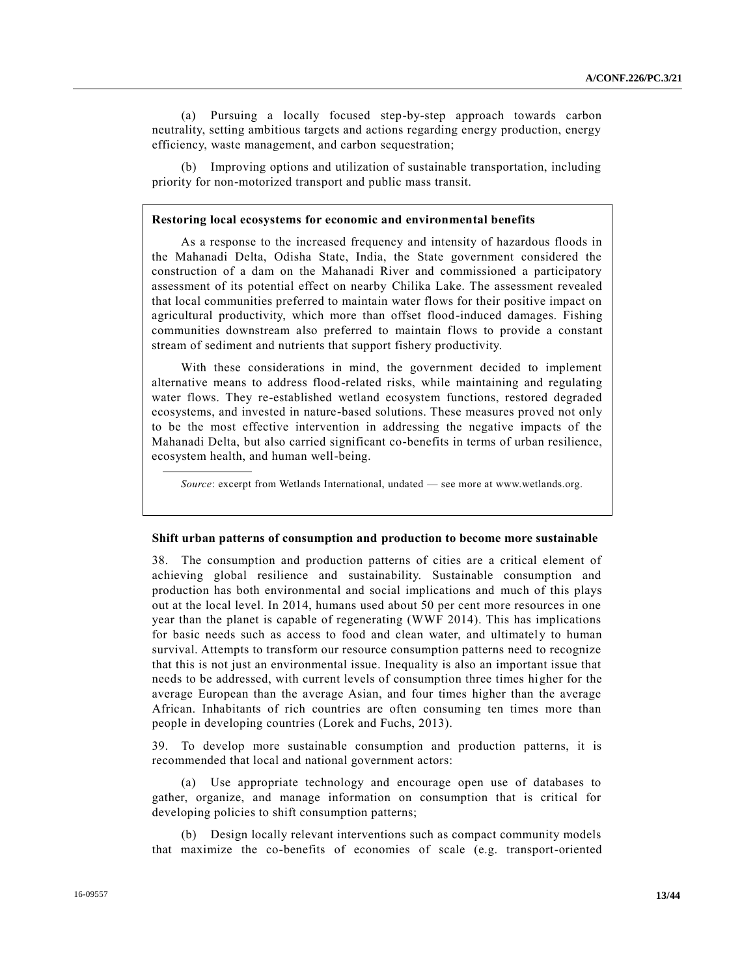(a) Pursuing a locally focused step-by-step approach towards carbon neutrality, setting ambitious targets and actions regarding energy production, energy efficiency, waste management, and carbon sequestration;

(b) Improving options and utilization of sustainable transportation, including priority for non-motorized transport and public mass transit.

#### **Restoring local ecosystems for economic and environmental benefits**

As a response to the increased frequency and intensity of hazardous floods in the Mahanadi Delta, Odisha State, India, the State government considered the construction of a dam on the Mahanadi River and commissioned a participatory assessment of its potential effect on nearby Chilika Lake. The assessment revealed that local communities preferred to maintain water flows for their positive impact on agricultural productivity, which more than offset flood-induced damages. Fishing communities downstream also preferred to maintain flows to provide a constant stream of sediment and nutrients that support fishery productivity.

With these considerations in mind, the government decided to implement alternative means to address flood-related risks, while maintaining and regulating water flows. They re-established wetland ecosystem functions, restored degraded ecosystems, and invested in nature-based solutions. These measures proved not only to be the most effective intervention in addressing the negative impacts of the Mahanadi Delta, but also carried significant co-benefits in terms of urban resilience, ecosystem health, and human well-being.

*Source*: excerpt from Wetlands International, undated — see more at www.wetlands.org.

#### **Shift urban patterns of consumption and production to become more sustainable**

38. The consumption and production patterns of cities are a critical element of achieving global resilience and sustainability. Sustainable consumption and production has both environmental and social implications and much of this plays out at the local level. In 2014, humans used about 50 per cent more resources in one year than the planet is capable of regenerating (WWF 2014). This has implications for basic needs such as access to food and clean water, and ultimately to human survival. Attempts to transform our resource consumption patterns need to recognize that this is not just an environmental issue. Inequality is also an important issue that needs to be addressed, with current levels of consumption three times higher for the average European than the average Asian, and four times higher than the average African. Inhabitants of rich countries are often consuming ten times more than people in developing countries (Lorek and Fuchs, 2013).

39. To develop more sustainable consumption and production patterns, it is recommended that local and national government actors:

(a) Use appropriate technology and encourage open use of databases to gather, organize, and manage information on consumption that is critical for developing policies to shift consumption patterns;

(b) Design locally relevant interventions such as compact community models that maximize the co-benefits of economies of scale (e.g. transport-oriented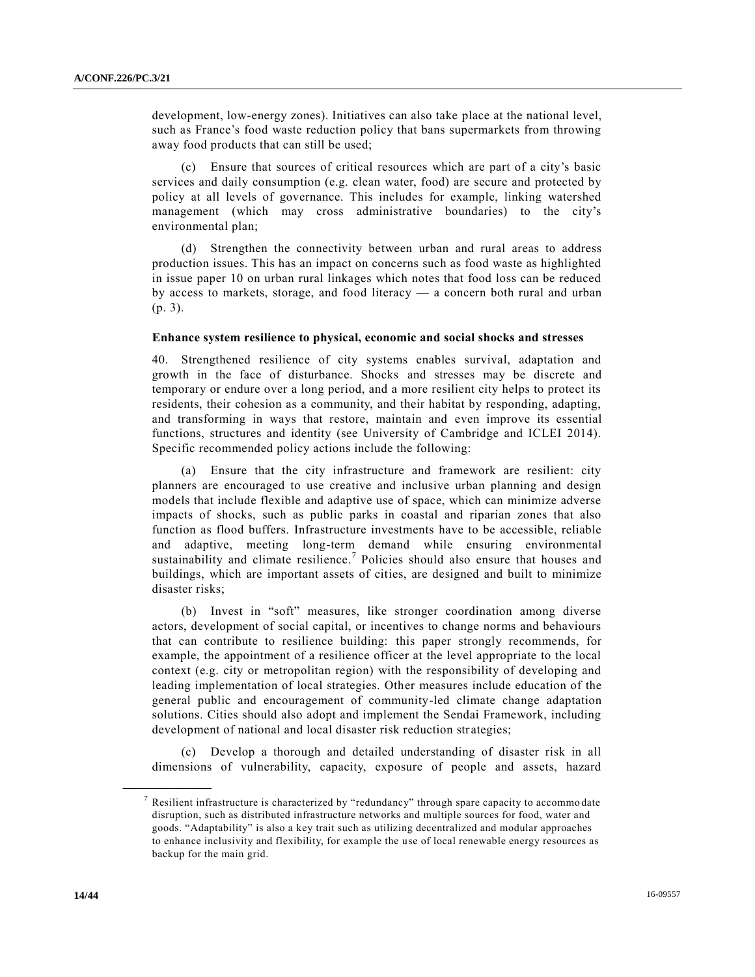development, low-energy zones). Initiatives can also take place at the national level, such as France's food waste reduction policy that bans supermarkets from throwing away food products that can still be used;

(c) Ensure that sources of critical resources which are part of a city's basic services and daily consumption (e.g. clean water, food) are secure and protected by policy at all levels of governance. This includes for example, linking watershed management (which may cross administrative boundaries) to the city's environmental plan;

(d) Strengthen the connectivity between urban and rural areas to address production issues. This has an impact on concerns such as food waste as highlighted in issue paper 10 on urban rural linkages which notes that food loss can be reduced by access to markets, storage, and food literacy — a concern both rural and urban (p. 3).

#### **Enhance system resilience to physical, economic and social shocks and stresses**

40. Strengthened resilience of city systems enables survival, adaptation and growth in the face of disturbance. Shocks and stresses may be discrete and temporary or endure over a long period, and a more resilient city helps to protect its residents, their cohesion as a community, and their habitat by responding, adapting, and transforming in ways that restore, maintain and even improve its essential functions, structures and identity (see University of Cambridge and ICLEI 2014). Specific recommended policy actions include the following:

(a) Ensure that the city infrastructure and framework are resilient: city planners are encouraged to use creative and inclusive urban planning and design models that include flexible and adaptive use of space, which can minimize adverse impacts of shocks, such as public parks in coastal and riparian zones that also function as flood buffers. Infrastructure investments have to be accessible, reliable and adaptive, meeting long-term demand while ensuring environmental sustainability and climate resilience.<sup>7</sup> Policies should also ensure that houses and buildings, which are important assets of cities, are designed and built to minimize disaster risks;

(b) Invest in "soft" measures, like stronger coordination among diverse actors, development of social capital, or incentives to change norms and behaviours that can contribute to resilience building: this paper strongly recommends, for example, the appointment of a resilience officer at the level appropriate to the local context (e.g. city or metropolitan region) with the responsibility of developing and leading implementation of local strategies. Other measures include education of the general public and encouragement of community-led climate change adaptation solutions. Cities should also adopt and implement the Sendai Framework, including development of national and local disaster risk reduction strategies;

(c) Develop a thorough and detailed understanding of disaster risk in all dimensions of vulnerability, capacity, exposure of people and assets, hazard

**\_\_\_\_\_\_\_\_\_\_\_\_\_\_\_\_\_\_**

<sup>&</sup>lt;sup>7</sup> Resilient infrastructure is characterized by "redundancy" through spare capacity to accommo date disruption, such as distributed infrastructure networks and multiple sources for food, water and goods. "Adaptability" is also a key trait such as utilizing decentralized and modular approaches to enhance inclusivity and flexibility, for example the use of local renewable energy resources as backup for the main grid.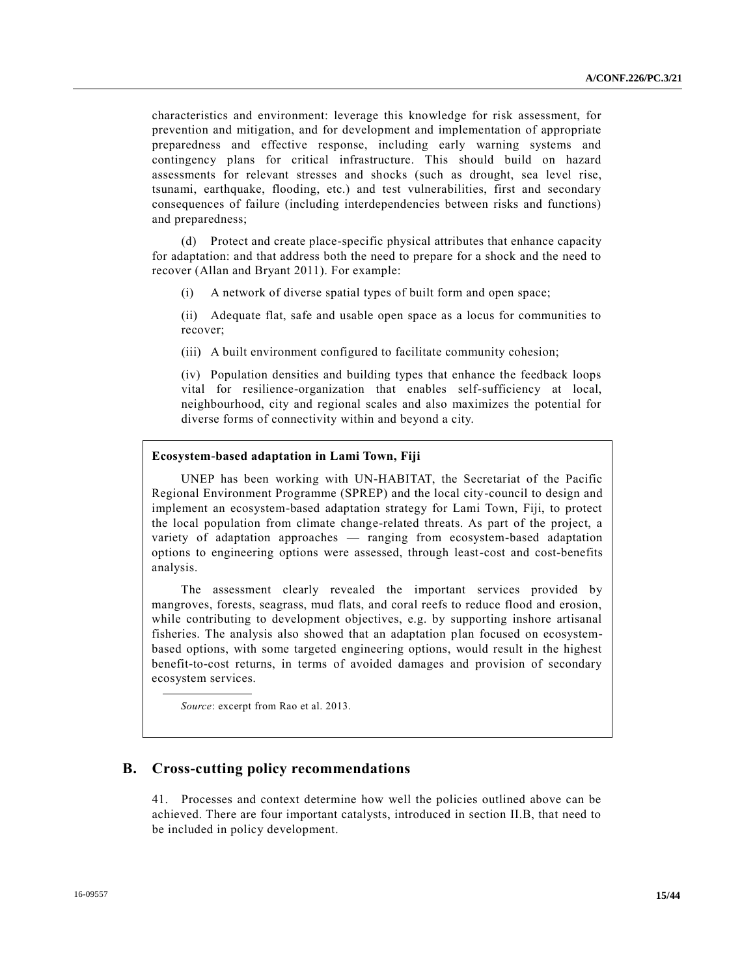characteristics and environment: leverage this knowledge for risk assessment, for prevention and mitigation, and for development and implementation of appropriate preparedness and effective response, including early warning systems and contingency plans for critical infrastructure. This should build on hazard assessments for relevant stresses and shocks (such as drought, sea level rise, tsunami, earthquake, flooding, etc.) and test vulnerabilities, first and secondary consequences of failure (including interdependencies between risks and functions) and preparedness;

(d) Protect and create place-specific physical attributes that enhance capacity for adaptation: and that address both the need to prepare for a shock and the need to recover (Allan and Bryant 2011). For example:

(i) A network of diverse spatial types of built form and open space;

(ii) Adequate flat, safe and usable open space as a locus for communities to recover;

(iii) A built environment configured to facilitate community cohesion;

(iv) Population densities and building types that enhance the feedback loops vital for resilience-organization that enables self-sufficiency at local, neighbourhood, city and regional scales and also maximizes the potential for diverse forms of connectivity within and beyond a city.

### **Ecosystem-based adaptation in Lami Town, Fiji**

UNEP has been working with UN-HABITAT, the Secretariat of the Pacific Regional Environment Programme (SPREP) and the local city-council to design and implement an ecosystem-based adaptation strategy for Lami Town, Fiji, to protect the local population from climate change-related threats. As part of the project, a variety of adaptation approaches — ranging from ecosystem-based adaptation options to engineering options were assessed, through least-cost and cost-benefits analysis.

The assessment clearly revealed the important services provided by mangroves, forests, seagrass, mud flats, and coral reefs to reduce flood and erosion, while contributing to development objectives, e.g. by supporting inshore artisanal fisheries. The analysis also showed that an adaptation plan focused on ecosystembased options, with some targeted engineering options, would result in the highest benefit-to-cost returns, in terms of avoided damages and provision of secondary ecosystem services.

*Source*: excerpt from Rao et al. 2013.

### **B. Cross-cutting policy recommendations**

41. Processes and context determine how well the policies outlined above can be achieved. There are four important catalysts, introduced in section II.B, that need to be included in policy development.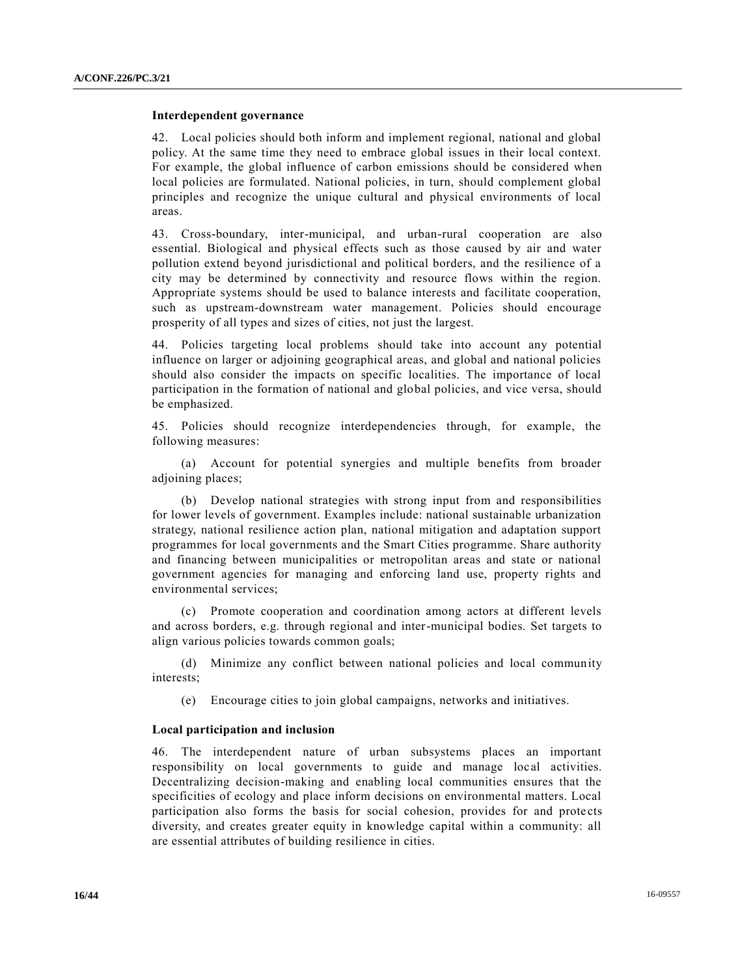#### **Interdependent governance**

42. Local policies should both inform and implement regional, national and global policy. At the same time they need to embrace global issues in their local context. For example, the global influence of carbon emissions should be considered when local policies are formulated. National policies, in turn, should complement global principles and recognize the unique cultural and physical environments of local areas.

43. Cross-boundary, inter-municipal, and urban-rural cooperation are also essential. Biological and physical effects such as those caused by air and water pollution extend beyond jurisdictional and political borders, and the resilience of a city may be determined by connectivity and resource flows within the region. Appropriate systems should be used to balance interests and facilitate cooperation, such as upstream-downstream water management. Policies should encourage prosperity of all types and sizes of cities, not just the largest.

44. Policies targeting local problems should take into account any potential influence on larger or adjoining geographical areas, and global and national policies should also consider the impacts on specific localities. The importance of local participation in the formation of national and global policies, and vice versa, should be emphasized.

45. Policies should recognize interdependencies through, for example, the following measures:

(a) Account for potential synergies and multiple benefits from broader adjoining places;

(b) Develop national strategies with strong input from and responsibilities for lower levels of government. Examples include: national sustainable urbanization strategy, national resilience action plan, national mitigation and adaptation support programmes for local governments and the Smart Cities programme. Share authority and financing between municipalities or metropolitan areas and state or national government agencies for managing and enforcing land use, property rights and environmental services;

(c) Promote cooperation and coordination among actors at different levels and across borders, e.g. through regional and inter-municipal bodies. Set targets to align various policies towards common goals;

(d) Minimize any conflict between national policies and local community interests;

(e) Encourage cities to join global campaigns, networks and initiatives.

### **Local participation and inclusion**

46. The interdependent nature of urban subsystems places an important responsibility on local governments to guide and manage local activities. Decentralizing decision-making and enabling local communities ensures that the specificities of ecology and place inform decisions on environmental matters. Local participation also forms the basis for social cohesion, provides for and prote cts diversity, and creates greater equity in knowledge capital within a community: all are essential attributes of building resilience in cities.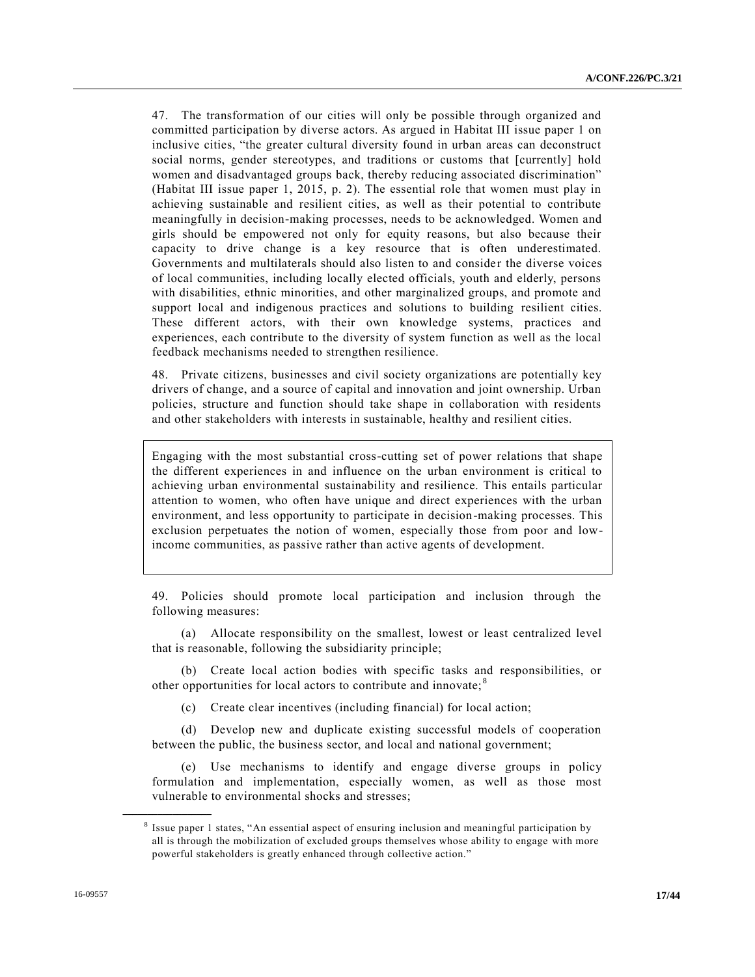47. The transformation of our cities will only be possible through organized and committed participation by diverse actors. As argued in Habitat III issue paper 1 on inclusive cities, "the greater cultural diversity found in urban areas can deconstruct social norms, gender stereotypes, and traditions or customs that [currently] hold women and disadvantaged groups back, thereby reducing associated discrimination" (Habitat III issue paper 1, 2015, p. 2). The essential role that women must play in achieving sustainable and resilient cities, as well as their potential to contribute meaningfully in decision-making processes, needs to be acknowledged. Women and girls should be empowered not only for equity reasons, but also because their capacity to drive change is a key resource that is often underestimated. Governments and multilaterals should also listen to and conside r the diverse voices of local communities, including locally elected officials, youth and elderly, persons with disabilities, ethnic minorities, and other marginalized groups, and promote and support local and indigenous practices and solutions to building resilient cities. These different actors, with their own knowledge systems, practices and experiences, each contribute to the diversity of system function as well as the local feedback mechanisms needed to strengthen resilience.

48. Private citizens, businesses and civil society organizations are potentially key drivers of change, and a source of capital and innovation and joint ownership. Urban policies, structure and function should take shape in collaboration with residents and other stakeholders with interests in sustainable, healthy and resilient cities.

Engaging with the most substantial cross-cutting set of power relations that shape the different experiences in and influence on the urban environment is critical to achieving urban environmental sustainability and resilience. This entails particular attention to women, who often have unique and direct experiences with the urban environment, and less opportunity to participate in decision-making processes. This exclusion perpetuates the notion of women, especially those from poor and lowincome communities, as passive rather than active agents of development.

49. Policies should promote local participation and inclusion through the following measures:

(a) Allocate responsibility on the smallest, lowest or least centralized level that is reasonable, following the subsidiarity principle;

(b) Create local action bodies with specific tasks and responsibilities, or other opportunities for local actors to contribute and innovate; <sup>8</sup>

(c) Create clear incentives (including financial) for local action;

(d) Develop new and duplicate existing successful models of cooperation between the public, the business sector, and local and national government;

(e) Use mechanisms to identify and engage diverse groups in policy formulation and implementation, especially women, as well as those most vulnerable to environmental shocks and stresses;

**\_\_\_\_\_\_\_\_\_\_\_\_\_\_\_\_\_\_**

<sup>&</sup>lt;sup>8</sup> Issue paper 1 states, "An essential aspect of ensuring inclusion and meaningful participation by all is through the mobilization of excluded groups themselves whose ability to engage with more powerful stakeholders is greatly enhanced through collective action."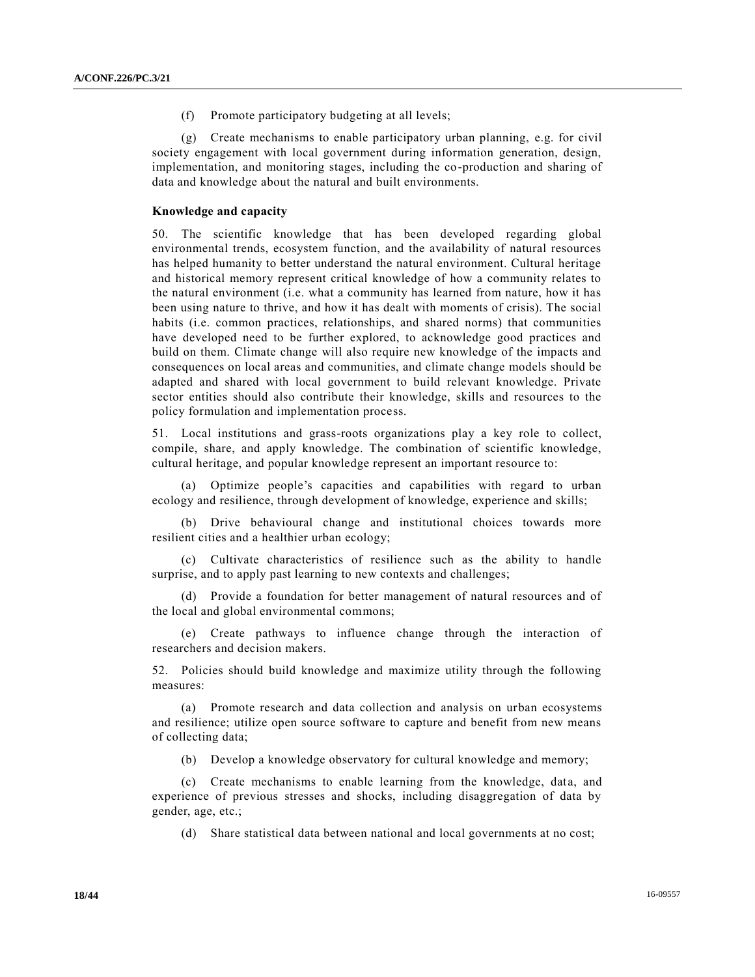(f) Promote participatory budgeting at all levels;

(g) Create mechanisms to enable participatory urban planning, e.g. for civil society engagement with local government during information generation, design, implementation, and monitoring stages, including the co-production and sharing of data and knowledge about the natural and built environments.

#### **Knowledge and capacity**

50. The scientific knowledge that has been developed regarding global environmental trends, ecosystem function, and the availability of natural resources has helped humanity to better understand the natural environment. Cultural heritage and historical memory represent critical knowledge of how a community relates to the natural environment (i.e. what a community has learned from nature, how it has been using nature to thrive, and how it has dealt with moments of crisis). The social habits (i.e. common practices, relationships, and shared norms) that communities have developed need to be further explored, to acknowledge good practices and build on them. Climate change will also require new knowledge of the impacts and consequences on local areas and communities, and climate change models should be adapted and shared with local government to build relevant knowledge. Private sector entities should also contribute their knowledge, skills and resources to the policy formulation and implementation process.

51. Local institutions and grass-roots organizations play a key role to collect, compile, share, and apply knowledge. The combination of scientific knowledge, cultural heritage, and popular knowledge represent an important resource to:

(a) Optimize people's capacities and capabilities with regard to urban ecology and resilience, through development of knowledge, experience and skills;

(b) Drive behavioural change and institutional choices towards more resilient cities and a healthier urban ecology;

(c) Cultivate characteristics of resilience such as the ability to handle surprise, and to apply past learning to new contexts and challenges;

(d) Provide a foundation for better management of natural resources and of the local and global environmental commons;

(e) Create pathways to influence change through the interaction of researchers and decision makers.

52. Policies should build knowledge and maximize utility through the following measures:

(a) Promote research and data collection and analysis on urban ecosystems and resilience; utilize open source software to capture and benefit from new means of collecting data;

(b) Develop a knowledge observatory for cultural knowledge and memory;

(c) Create mechanisms to enable learning from the knowledge, data, and experience of previous stresses and shocks, including disaggregation of data by gender, age, etc.;

(d) Share statistical data between national and local governments at no cost;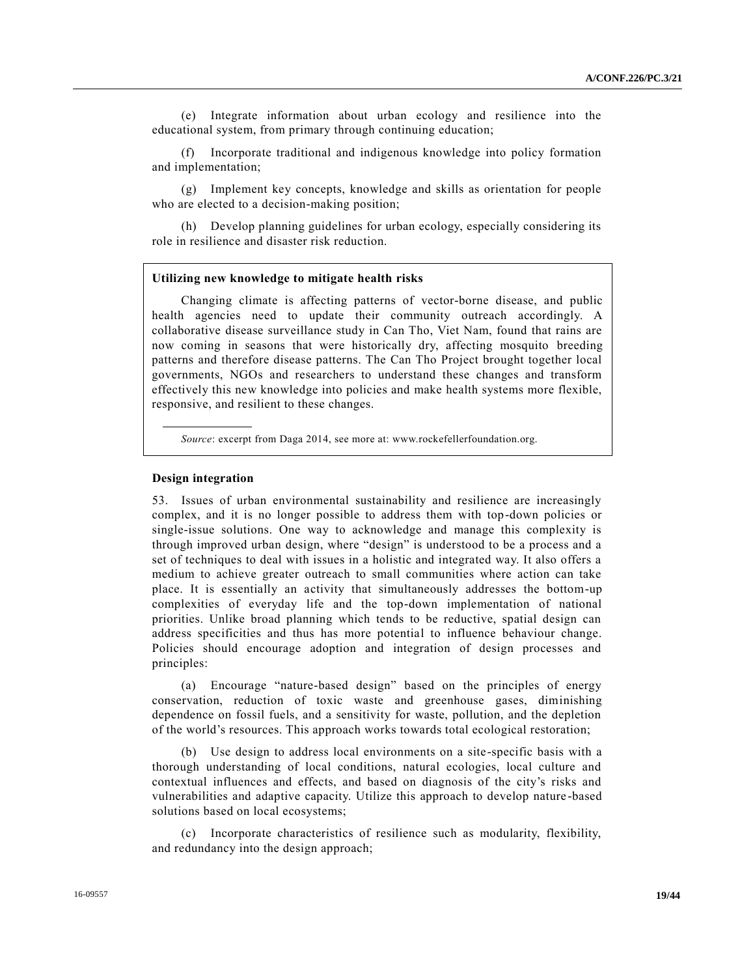(e) Integrate information about urban ecology and resilience into the educational system, from primary through continuing education;

Incorporate traditional and indigenous knowledge into policy formation and implementation;

(g) Implement key concepts, knowledge and skills as orientation for people who are elected to a decision-making position;

(h) Develop planning guidelines for urban ecology, especially considering its role in resilience and disaster risk reduction.

#### **Utilizing new knowledge to mitigate health risks**

Changing climate is affecting patterns of vector-borne disease, and public health agencies need to update their community outreach accordingly. A collaborative disease surveillance study in Can Tho, Viet Nam, found that rains are now coming in seasons that were historically dry, affecting mosquito breeding patterns and therefore disease patterns. The Can Tho Project brought together local governments, NGOs and researchers to understand these changes and transform effectively this new knowledge into policies and make health systems more flexible, responsive, and resilient to these changes.

*Source*: excerpt from Daga 2014, see more at: www.rockefellerfoundation.org.

#### **Design integration**

53. Issues of urban environmental sustainability and resilience are increasingly complex, and it is no longer possible to address them with top-down policies or single-issue solutions. One way to acknowledge and manage this complexity is through improved urban design, where "design" is understood to be a process and a set of techniques to deal with issues in a holistic and integrated way. It also offers a medium to achieve greater outreach to small communities where action can take place. It is essentially an activity that simultaneously addresses the bottom-up complexities of everyday life and the top-down implementation of national priorities. Unlike broad planning which tends to be reductive, spatial design can address specificities and thus has more potential to influence behaviour change. Policies should encourage adoption and integration of design processes and principles:

(a) Encourage "nature-based design" based on the principles of energy conservation, reduction of toxic waste and greenhouse gases, diminishing dependence on fossil fuels, and a sensitivity for waste, pollution, and the depletion of the world's resources. This approach works towards total ecological restoration;

(b) Use design to address local environments on a site-specific basis with a thorough understanding of local conditions, natural ecologies, local culture and contextual influences and effects, and based on diagnosis of the city's risks and vulnerabilities and adaptive capacity. Utilize this approach to develop nature -based solutions based on local ecosystems;

(c) Incorporate characteristics of resilience such as modularity, flexibility, and redundancy into the design approach;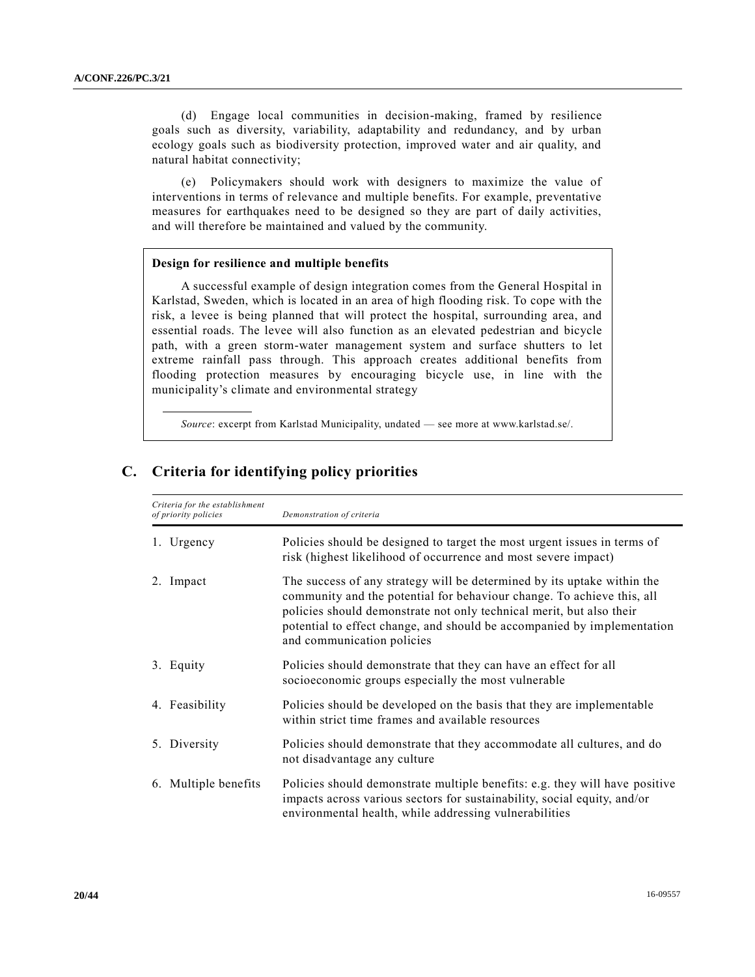(d) Engage local communities in decision-making, framed by resilience goals such as diversity, variability, adaptability and redundancy, and by urban ecology goals such as biodiversity protection, improved water and air quality, and natural habitat connectivity;

(e) Policymakers should work with designers to maximize the value of interventions in terms of relevance and multiple benefits. For example, preventative measures for earthquakes need to be designed so they are part of daily activities, and will therefore be maintained and valued by the community.

#### **Design for resilience and multiple benefits**

A successful example of design integration comes from the General Hospital in Karlstad, Sweden, which is located in an area of high flooding risk. To cope with the risk, a levee is being planned that will protect the hospital, surrounding area, and essential roads. The levee will also function as an elevated pedestrian and bicycle path, with a green storm-water management system and surface shutters to let extreme rainfall pass through. This approach creates additional benefits from flooding protection measures by encouraging bicycle use, in line with the municipality's climate and environmental strategy

*Source*: excerpt from Karlstad Municipality, undated — see more at www.karlstad.se/.

| Criteria for the establishment<br>of priority policies | Demonstration of criteria                                                                                                                                                                                                                                                                                                          |
|--------------------------------------------------------|------------------------------------------------------------------------------------------------------------------------------------------------------------------------------------------------------------------------------------------------------------------------------------------------------------------------------------|
| Urgency                                                | Policies should be designed to target the most urgent issues in terms of<br>risk (highest likelihood of occurrence and most severe impact)                                                                                                                                                                                         |
| 2. Impact                                              | The success of any strategy will be determined by its uptake within the<br>community and the potential for behaviour change. To achieve this, all<br>policies should demonstrate not only technical merit, but also their<br>potential to effect change, and should be accompanied by implementation<br>and communication policies |
| 3. Equity                                              | Policies should demonstrate that they can have an effect for all<br>socioeconomic groups especially the most vulnerable                                                                                                                                                                                                            |
| 4. Feasibility                                         | Policies should be developed on the basis that they are implementable<br>within strict time frames and available resources                                                                                                                                                                                                         |
| 5. Diversity                                           | Policies should demonstrate that they accommodate all cultures, and do<br>not disadvantage any culture                                                                                                                                                                                                                             |
| 6. Multiple benefits                                   | Policies should demonstrate multiple benefits: e.g. they will have positive<br>impacts across various sectors for sustainability, social equity, and/or<br>environmental health, while addressing vulnerabilities                                                                                                                  |

### **C. Criteria for identifying policy priorities**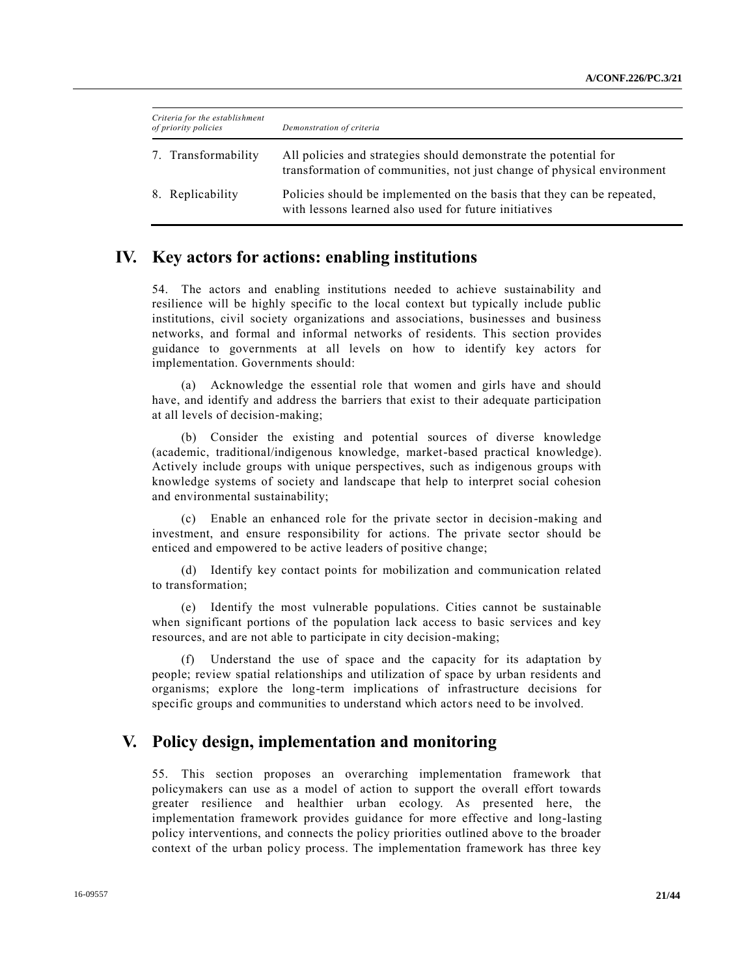| Criteria for the establishment<br>of priority policies | Demonstration of criteria                                                                                                                  |
|--------------------------------------------------------|--------------------------------------------------------------------------------------------------------------------------------------------|
| 7. Transformability                                    | All policies and strategies should demonstrate the potential for<br>transformation of communities, not just change of physical environment |
| 8. Replicability                                       | Policies should be implemented on the basis that they can be repeated,<br>with lessons learned also used for future initiatives            |

### **IV. Key actors for actions: enabling institutions**

54. The actors and enabling institutions needed to achieve sustainability and resilience will be highly specific to the local context but typically include public institutions, civil society organizations and associations, businesses and business networks, and formal and informal networks of residents. This section provides guidance to governments at all levels on how to identify key actors for implementation. Governments should:

(a) Acknowledge the essential role that women and girls have and should have, and identify and address the barriers that exist to their adequate participation at all levels of decision-making;

(b) Consider the existing and potential sources of diverse knowledge (academic, traditional/indigenous knowledge, market-based practical knowledge). Actively include groups with unique perspectives, such as indigenous groups with knowledge systems of society and landscape that help to interpret social cohesion and environmental sustainability;

(c) Enable an enhanced role for the private sector in decision-making and investment, and ensure responsibility for actions. The private sector should be enticed and empowered to be active leaders of positive change;

(d) Identify key contact points for mobilization and communication related to transformation;

(e) Identify the most vulnerable populations. Cities cannot be sustainable when significant portions of the population lack access to basic services and key resources, and are not able to participate in city decision-making;

(f) Understand the use of space and the capacity for its adaptation by people; review spatial relationships and utilization of space by urban residents and organisms; explore the long-term implications of infrastructure decisions for specific groups and communities to understand which actors need to be involved.

### **V. Policy design, implementation and monitoring**

55. This section proposes an overarching implementation framework that policymakers can use as a model of action to support the overall effort towards greater resilience and healthier urban ecology. As presented here, the implementation framework provides guidance for more effective and long-lasting policy interventions, and connects the policy priorities outlined above to the broader context of the urban policy process. The implementation framework has three key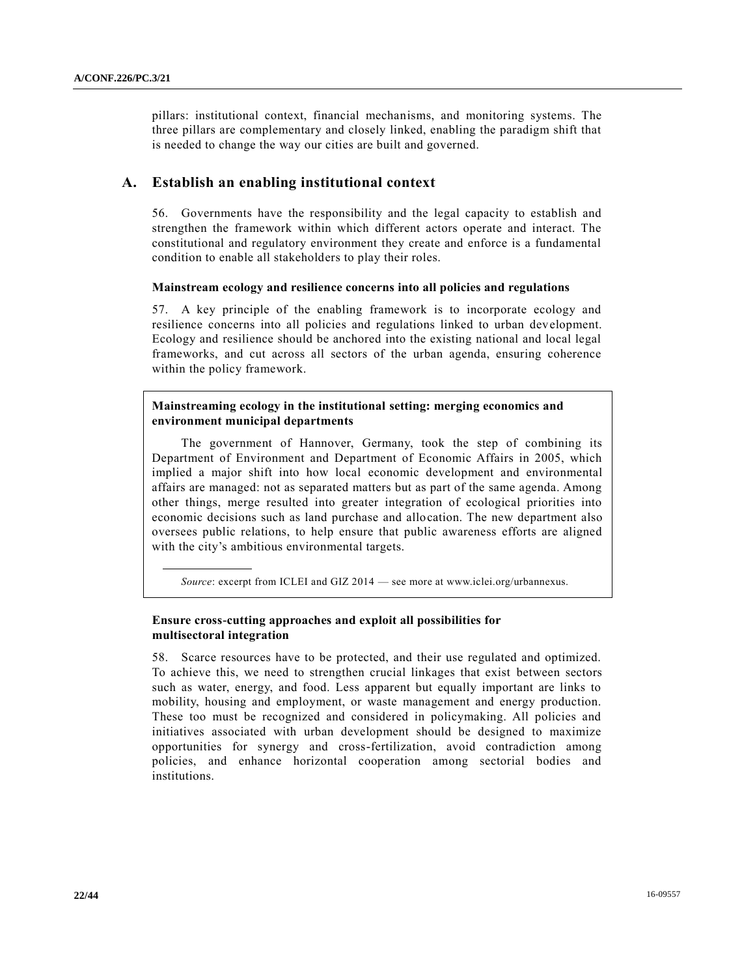pillars: institutional context, financial mechanisms, and monitoring systems. The three pillars are complementary and closely linked, enabling the paradigm shift that is needed to change the way our cities are built and governed.

### **A. Establish an enabling institutional context**

56. Governments have the responsibility and the legal capacity to establish and strengthen the framework within which different actors operate and interact. The constitutional and regulatory environment they create and enforce is a fundamental condition to enable all stakeholders to play their roles.

### **Mainstream ecology and resilience concerns into all policies and regulations**

57. A key principle of the enabling framework is to incorporate ecology and resilience concerns into all policies and regulations linked to urban development. Ecology and resilience should be anchored into the existing national and local legal frameworks, and cut across all sectors of the urban agenda, ensuring coherence within the policy framework.

### **Mainstreaming ecology in the institutional setting: merging economics and environment municipal departments**

The government of Hannover, Germany, took the step of combining its Department of Environment and Department of Economic Affairs in 2005, which implied a major shift into how local economic development and environmental affairs are managed: not as separated matters but as part of the same agenda. Among other things, merge resulted into greater integration of ecological priorities into economic decisions such as land purchase and allocation. The new department also oversees public relations, to help ensure that public awareness efforts are aligned with the city's ambitious environmental targets.

*Source*: excerpt from ICLEI and GIZ 2014 — see more at www.iclei.org/urbannexus.

### **Ensure cross-cutting approaches and exploit all possibilities for multisectoral integration**

58. Scarce resources have to be protected, and their use regulated and optimized. To achieve this, we need to strengthen crucial linkages that exist between sectors such as water, energy, and food. Less apparent but equally important are links to mobility, housing and employment, or waste management and energy production. These too must be recognized and considered in policymaking. All policies and initiatives associated with urban development should be designed to maximize opportunities for synergy and cross-fertilization, avoid contradiction among policies, and enhance horizontal cooperation among sectorial bodies and institutions.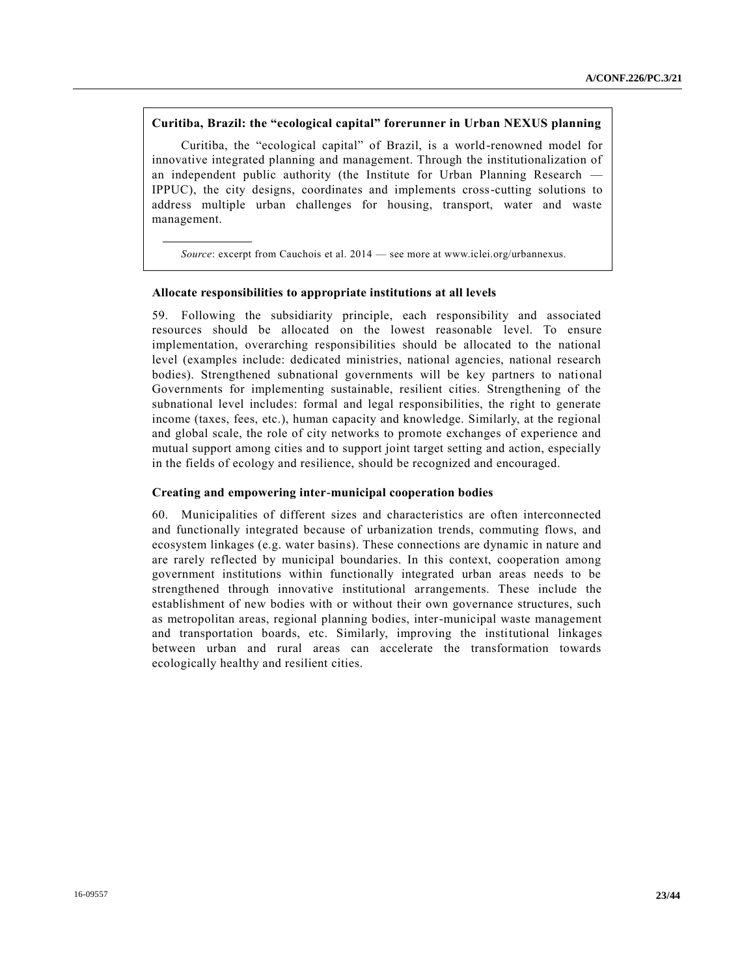### **Curitiba, Brazil: the "ecological capital" forerunner in Urban NEXUS planning**

Curitiba, the "ecological capital" of Brazil, is a world-renowned model for innovative integrated planning and management. Through the institutionalization of an independent public authority (the Institute for Urban Planning Research — IPPUC), the city designs, coordinates and implements cross-cutting solutions to address multiple urban challenges for housing, transport, water and waste management.

*Source*: excerpt from Cauchois et al. 2014 — see more at www.iclei.org/urbannexus.

#### **Allocate responsibilities to appropriate institutions at all levels**

59. Following the subsidiarity principle, each responsibility and associated resources should be allocated on the lowest reasonable level. To ensure implementation, overarching responsibilities should be allocated to the national level (examples include: dedicated ministries, national agencies, national research bodies). Strengthened subnational governments will be key partners to national Governments for implementing sustainable, resilient cities. Strengthening of the subnational level includes: formal and legal responsibilities, the right to generate income (taxes, fees, etc.), human capacity and knowledge. Similarly, at the regional and global scale, the role of city networks to promote exchanges of experience and mutual support among cities and to support joint target setting and action, especially in the fields of ecology and resilience, should be recognized and encouraged.

#### **Creating and empowering inter-municipal cooperation bodies**

60. Municipalities of different sizes and characteristics are often interconnected and functionally integrated because of urbanization trends, commuting flows, and ecosystem linkages (e.g. water basins). These connections are dynamic in nature and are rarely reflected by municipal boundaries. In this context, cooperation among government institutions within functionally integrated urban areas needs to be strengthened through innovative institutional arrangements. These include the establishment of new bodies with or without their own governance structures, such as metropolitan areas, regional planning bodies, inter-municipal waste management and transportation boards, etc. Similarly, improving the institutional linkages between urban and rural areas can accelerate the transformation towards ecologically healthy and resilient cities.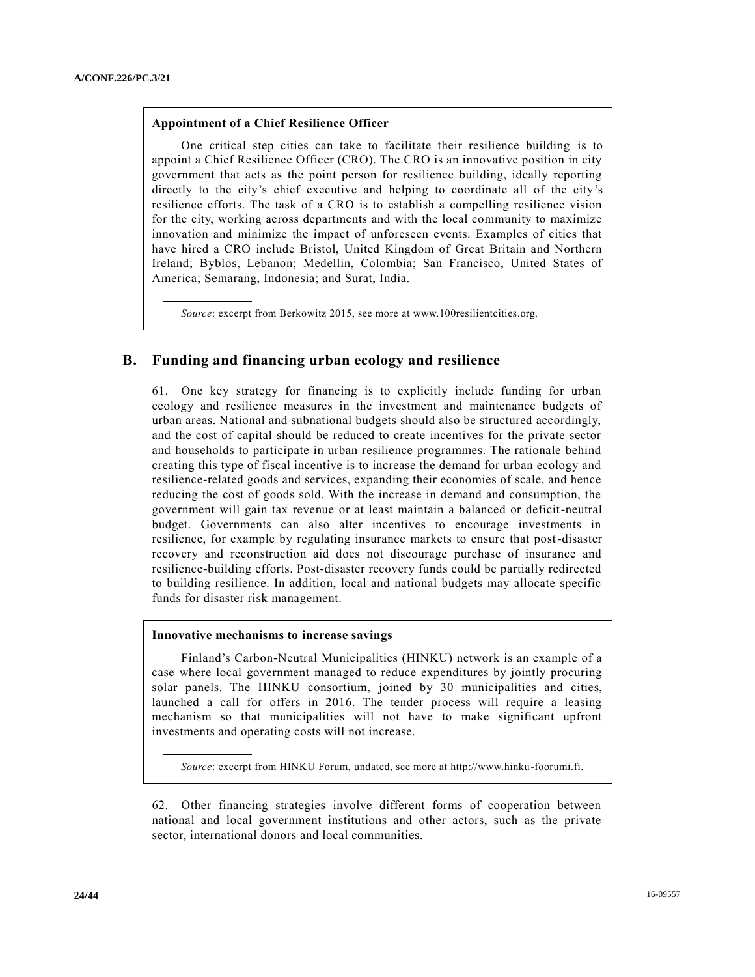### **Appointment of a Chief Resilience Officer**

One critical step cities can take to facilitate their resilience building is to appoint a Chief Resilience Officer (CRO). The CRO is an innovative position in city government that acts as the point person for resilience building, ideally reporting directly to the city's chief executive and helping to coordinate all of the city's resilience efforts. The task of a CRO is to establish a compelling resilience vision for the city, working across departments and with the local community to maximize innovation and minimize the impact of unforeseen events. Examples of cities that have hired a CRO include Bristol, United Kingdom of Great Britain and Northern Ireland; Byblos, Lebanon; Medellin, Colombia; San Francisco, United States of America; Semarang, Indonesia; and Surat, India.

*Source*: excerpt from Berkowitz 2015, see more at www.100resilientcities.org.

### **B. Funding and financing urban ecology and resilience**

61. One key strategy for financing is to explicitly include funding for urban ecology and resilience measures in the investment and maintenance budgets of urban areas. National and subnational budgets should also be structured accordingly, and the cost of capital should be reduced to create incentives for the private sector and households to participate in urban resilience programmes. The rationale behind creating this type of fiscal incentive is to increase the demand for urban ecology and resilience-related goods and services, expanding their economies of scale, and hence reducing the cost of goods sold. With the increase in demand and consumption, the government will gain tax revenue or at least maintain a balanced or deficit-neutral budget. Governments can also alter incentives to encourage investments in resilience, for example by regulating insurance markets to ensure that post-disaster recovery and reconstruction aid does not discourage purchase of insurance and resilience-building efforts. Post-disaster recovery funds could be partially redirected to building resilience. In addition, local and national budgets may allocate specific funds for disaster risk management.

#### **Innovative mechanisms to increase savings**

Finland's Carbon-Neutral Municipalities (HINKU) network is an example of a case where local government managed to reduce expenditures by jointly procuring solar panels. The HINKU consortium, joined by 30 municipalities and cities, launched a call for offers in 2016. The tender process will require a leasing mechanism so that municipalities will not have to make significant upfront investments and operating costs will not increase.

*Source*: excerpt from HINKU Forum, undated, see more at http://www.hinku-foorumi.fi.

62. Other financing strategies involve different forms of cooperation between national and local government institutions and other actors, such as the private sector, international donors and local communities.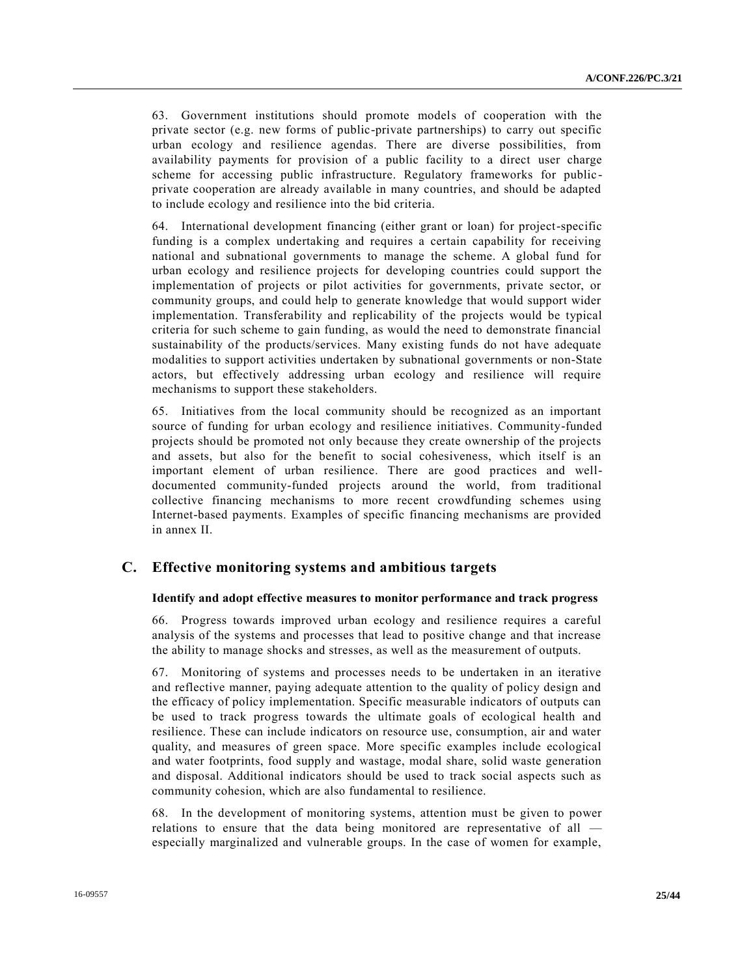63. Government institutions should promote models of cooperation with the private sector (e.g. new forms of public-private partnerships) to carry out specific urban ecology and resilience agendas. There are diverse possibilities, from availability payments for provision of a public facility to a direct user charge scheme for accessing public infrastructure. Regulatory frameworks for public private cooperation are already available in many countries, and should be adapted to include ecology and resilience into the bid criteria.

64. International development financing (either grant or loan) for project-specific funding is a complex undertaking and requires a certain capability for receiving national and subnational governments to manage the scheme. A global fund for urban ecology and resilience projects for developing countries could support the implementation of projects or pilot activities for governments, private sector, or community groups, and could help to generate knowledge that would support wider implementation. Transferability and replicability of the projects would be typical criteria for such scheme to gain funding, as would the need to demonstrate financial sustainability of the products/services. Many existing funds do not have adequate modalities to support activities undertaken by subnational governments or non-State actors, but effectively addressing urban ecology and resilience will require mechanisms to support these stakeholders.

65. Initiatives from the local community should be recognized as an important source of funding for urban ecology and resilience initiatives. Community-funded projects should be promoted not only because they create ownership of the projects and assets, but also for the benefit to social cohesiveness, which itself is an important element of urban resilience. There are good practices and welldocumented community-funded projects around the world, from traditional collective financing mechanisms to more recent crowdfunding schemes using Internet-based payments. Examples of specific financing mechanisms are provided in annex II.

### **C. Effective monitoring systems and ambitious targets**

#### **Identify and adopt effective measures to monitor performance and track progress**

66. Progress towards improved urban ecology and resilience requires a careful analysis of the systems and processes that lead to positive change and that increase the ability to manage shocks and stresses, as well as the measurement of outputs.

67. Monitoring of systems and processes needs to be undertaken in an iterative and reflective manner, paying adequate attention to the quality of policy design and the efficacy of policy implementation. Specific measurable indicators of outputs can be used to track progress towards the ultimate goals of ecological health and resilience. These can include indicators on resource use, consumption, air and water quality, and measures of green space. More specific examples include ecological and water footprints, food supply and wastage, modal share, solid waste generation and disposal. Additional indicators should be used to track social aspects such as community cohesion, which are also fundamental to resilience.

68. In the development of monitoring systems, attention must be given to power relations to ensure that the data being monitored are representative of all especially marginalized and vulnerable groups. In the case of women for example,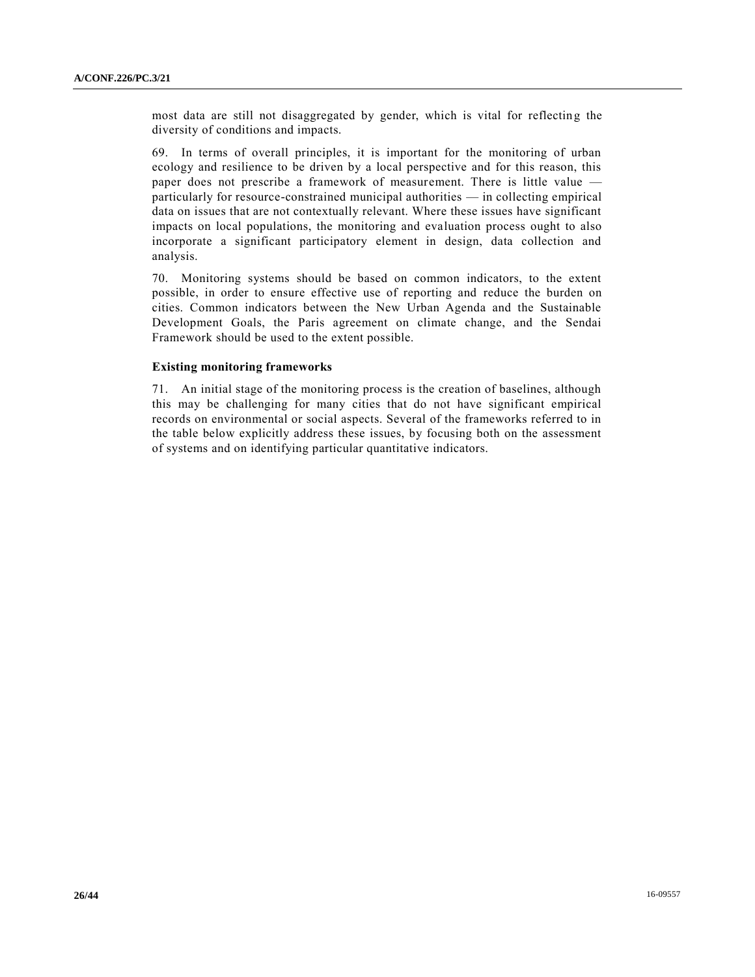most data are still not disaggregated by gender, which is vital for reflecting the diversity of conditions and impacts.

69. In terms of overall principles, it is important for the monitoring of urban ecology and resilience to be driven by a local perspective and for this reason, this paper does not prescribe a framework of measurement. There is little value particularly for resource-constrained municipal authorities — in collecting empirical data on issues that are not contextually relevant. Where these issues have significant impacts on local populations, the monitoring and evaluation process ought to also incorporate a significant participatory element in design, data collection and analysis.

70. Monitoring systems should be based on common indicators, to the extent possible, in order to ensure effective use of reporting and reduce the burden on cities. Common indicators between the New Urban Agenda and the Sustainable Development Goals, the Paris agreement on climate change, and the Sendai Framework should be used to the extent possible.

### **Existing monitoring frameworks**

71. An initial stage of the monitoring process is the creation of baselines, although this may be challenging for many cities that do not have significant empirical records on environmental or social aspects. Several of the frameworks referred to in the table below explicitly address these issues, by focusing both on the assessment of systems and on identifying particular quantitative indicators.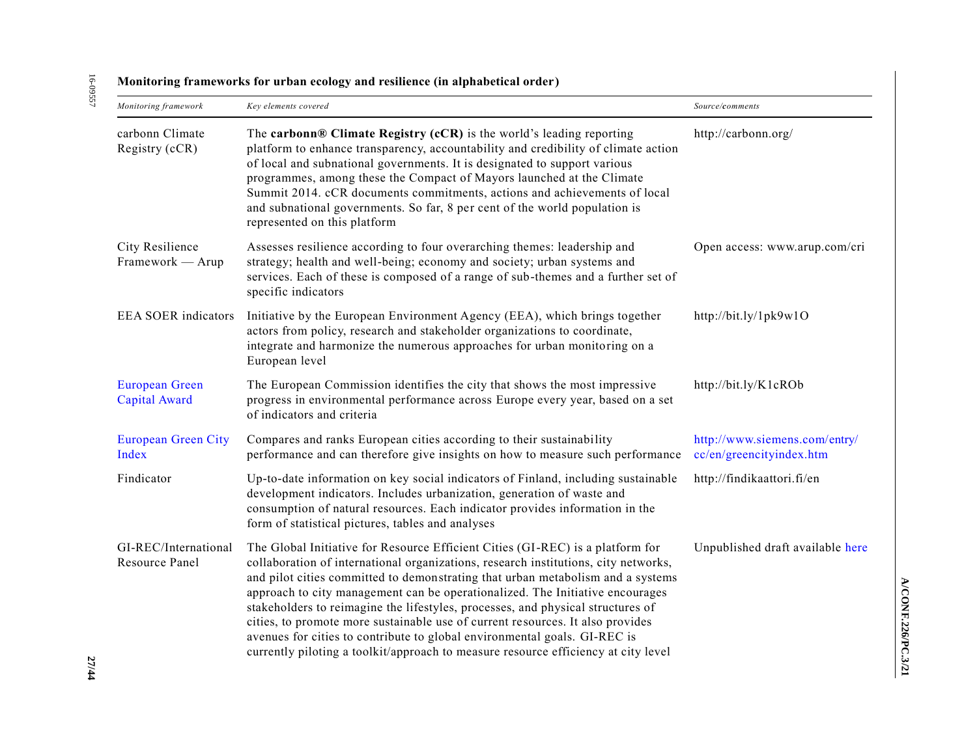16-09557 16-09557

| глониот нід тганісмої ку тог игран ссоюду ани техніснес (ні атриарсисат огист ) |                                                                                                                                                                                                                                                                                                                                                                                                                                                                                                                                                                                                                                                                                   |                                                           |  |
|---------------------------------------------------------------------------------|-----------------------------------------------------------------------------------------------------------------------------------------------------------------------------------------------------------------------------------------------------------------------------------------------------------------------------------------------------------------------------------------------------------------------------------------------------------------------------------------------------------------------------------------------------------------------------------------------------------------------------------------------------------------------------------|-----------------------------------------------------------|--|
| Monitoring framework                                                            | Key elements covered                                                                                                                                                                                                                                                                                                                                                                                                                                                                                                                                                                                                                                                              | Source/comments                                           |  |
| carbonn Climate<br>Registry (cCR)                                               | The carbonn® Climate Registry $(cCR)$ is the world's leading reporting<br>platform to enhance transparency, accountability and credibility of climate action<br>of local and subnational governments. It is designated to support various<br>programmes, among these the Compact of Mayors launched at the Climate<br>Summit 2014. cCR documents commitments, actions and achievements of local<br>and subnational governments. So far, 8 per cent of the world population is<br>represented on this platform                                                                                                                                                                     | http://carbonn.org/                                       |  |
| City Resilience<br>Framework — Arup                                             | Assesses resilience according to four overarching themes: leadership and<br>strategy; health and well-being; economy and society; urban systems and<br>services. Each of these is composed of a range of sub-themes and a further set of<br>specific indicators                                                                                                                                                                                                                                                                                                                                                                                                                   | Open access: www.arup.com/cri                             |  |
| <b>EEA SOER indicators</b>                                                      | Initiative by the European Environment Agency (EEA), which brings together<br>actors from policy, research and stakeholder organizations to coordinate,<br>integrate and harmonize the numerous approaches for urban monitoring on a<br>European level                                                                                                                                                                                                                                                                                                                                                                                                                            | http://bit.ly/1pk9w1O                                     |  |
| <b>European Green</b><br><b>Capital Award</b>                                   | The European Commission identifies the city that shows the most impressive<br>progress in environmental performance across Europe every year, based on a set<br>of indicators and criteria                                                                                                                                                                                                                                                                                                                                                                                                                                                                                        | http://bit.ly/K1cROb                                      |  |
| <b>European Green City</b><br>Index                                             | Compares and ranks European cities according to their sustainability<br>performance and can therefore give insights on how to measure such performance                                                                                                                                                                                                                                                                                                                                                                                                                                                                                                                            | http://www.siemens.com/entry/<br>cc/en/greencityindex.htm |  |
| Findicator                                                                      | Up-to-date information on key social indicators of Finland, including sustainable<br>development indicators. Includes urbanization, generation of waste and<br>consumption of natural resources. Each indicator provides information in the<br>form of statistical pictures, tables and analyses                                                                                                                                                                                                                                                                                                                                                                                  | http://findikaattori.fi/en                                |  |
| GI-REC/International<br>Resource Panel                                          | The Global Initiative for Resource Efficient Cities (GI-REC) is a platform for<br>collaboration of international organizations, research institutions, city networks,<br>and pilot cities committed to demonstrating that urban metabolism and a systems<br>approach to city management can be operationalized. The Initiative encourages<br>stakeholders to reimagine the lifestyles, processes, and physical structures of<br>cities, to promote more sustainable use of current resources. It also provides<br>avenues for cities to contribute to global environmental goals. GI-REC is<br>currently piloting a toolkit/approach to measure resource efficiency at city level | Unpublished draft available here                          |  |

### **Monitoring frameworks for urban ecology and resilience (in alphabetical order)**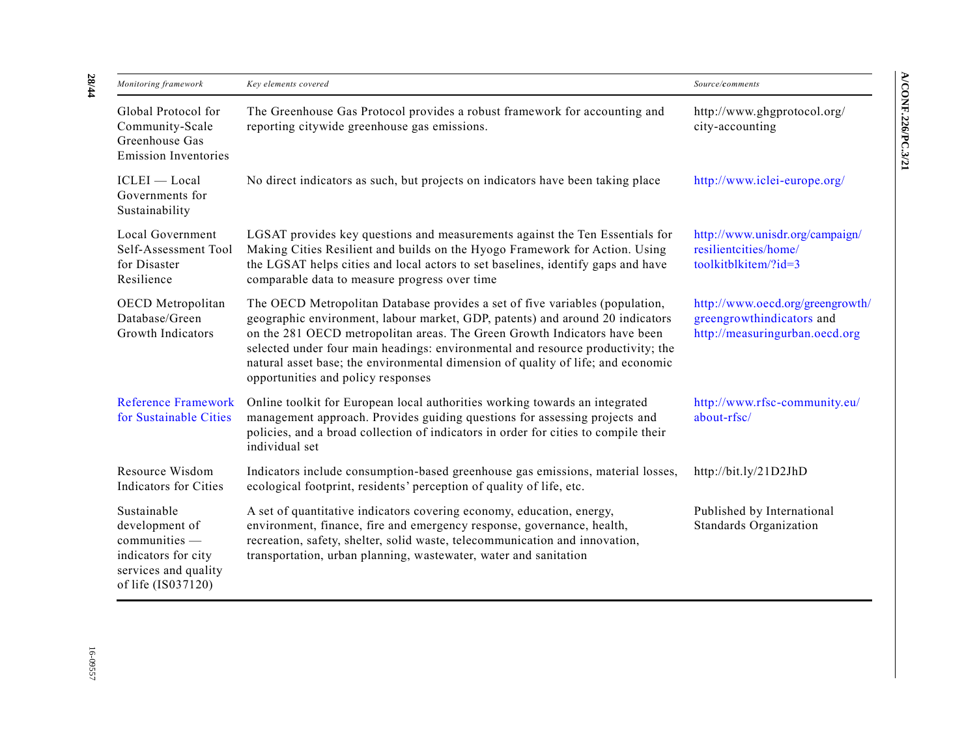| Monitoring framework                                                                                                | Key elements covered                                                                                                                                                                                                                                                                                                                                                                                                                                    | Source/comments                                                                                 |
|---------------------------------------------------------------------------------------------------------------------|---------------------------------------------------------------------------------------------------------------------------------------------------------------------------------------------------------------------------------------------------------------------------------------------------------------------------------------------------------------------------------------------------------------------------------------------------------|-------------------------------------------------------------------------------------------------|
| Global Protocol for<br>Community-Scale<br>Greenhouse Gas<br><b>Emission Inventories</b>                             | The Greenhouse Gas Protocol provides a robust framework for accounting and<br>reporting citywide greenhouse gas emissions.                                                                                                                                                                                                                                                                                                                              | http://www.ghgprotocol.org/<br>city-accounting                                                  |
| ICLEI - Local<br>Governments for<br>Sustainability                                                                  | No direct indicators as such, but projects on indicators have been taking place                                                                                                                                                                                                                                                                                                                                                                         | http://www.iclei-europe.org/                                                                    |
| Local Government<br>Self-Assessment Tool<br>for Disaster<br>Resilience                                              | LGSAT provides key questions and measurements against the Ten Essentials for<br>Making Cities Resilient and builds on the Hyogo Framework for Action. Using<br>the LGSAT helps cities and local actors to set baselines, identify gaps and have<br>comparable data to measure progress over time                                                                                                                                                        | http://www.unisdr.org/campaign/<br>resilientcities/home/<br>toolkitblkitem/?id=3                |
| OECD Metropolitan<br>Database/Green<br>Growth Indicators                                                            | The OECD Metropolitan Database provides a set of five variables (population,<br>geographic environment, labour market, GDP, patents) and around 20 indicators<br>on the 281 OECD metropolitan areas. The Green Growth Indicators have been<br>selected under four main headings: environmental and resource productivity; the<br>natural asset base; the environmental dimension of quality of life; and economic<br>opportunities and policy responses | http://www.oecd.org/greengrowth/<br>greengrowthindicators and<br>http://measuringurban.oecd.org |
| <b>Reference Framework</b><br>for Sustainable Cities                                                                | Online toolkit for European local authorities working towards an integrated<br>management approach. Provides guiding questions for assessing projects and<br>policies, and a broad collection of indicators in order for cities to compile their<br>individual set                                                                                                                                                                                      | http://www.rfsc-community.eu/<br>about-rfsc/                                                    |
| Resource Wisdom<br><b>Indicators for Cities</b>                                                                     | Indicators include consumption-based greenhouse gas emissions, material losses,<br>ecological footprint, residents' perception of quality of life, etc.                                                                                                                                                                                                                                                                                                 | http://bit.ly/21D2JhD                                                                           |
| Sustainable<br>development of<br>communities -<br>indicators for city<br>services and quality<br>of life (IS037120) | A set of quantitative indicators covering economy, education, energy,<br>environment, finance, fire and emergency response, governance, health,<br>recreation, safety, shelter, solid waste, telecommunication and innovation,<br>transportation, urban planning, wastewater, water and sanitation                                                                                                                                                      | Published by International<br>Standards Organization                                            |

**28 /44**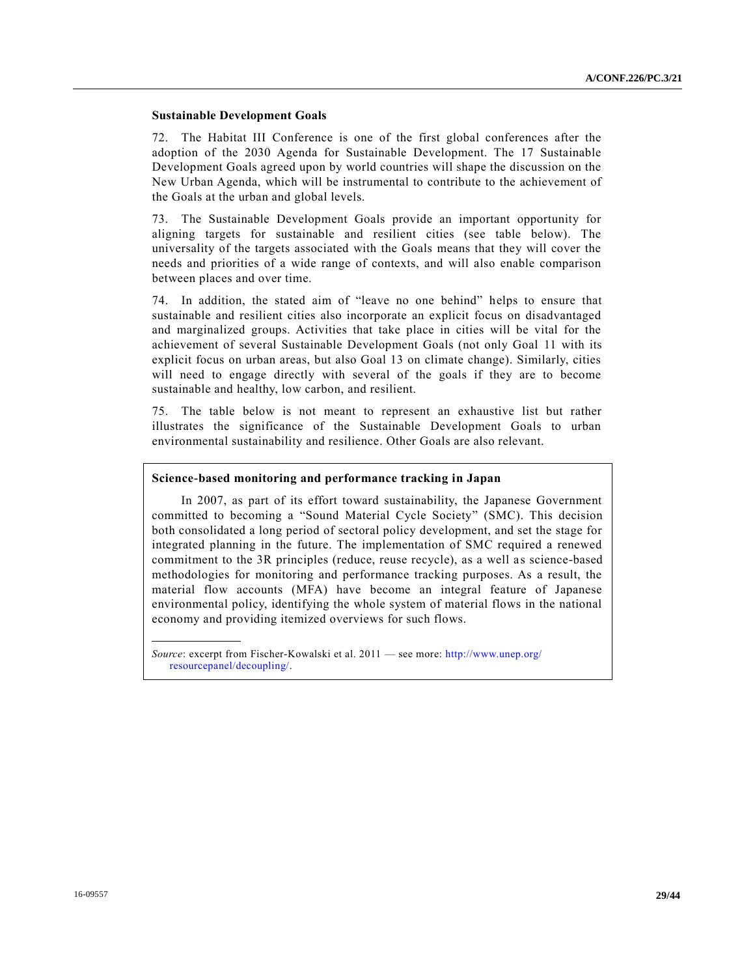### **Sustainable Development Goals**

72. The Habitat III Conference is one of the first global conferences after the adoption of the 2030 Agenda for Sustainable Development. The 17 Sustainable Development Goals agreed upon by world countries will shape the discussion on the New Urban Agenda, which will be instrumental to contribute to the achievement of the Goals at the urban and global levels.

73. The Sustainable Development Goals provide an important opportunity for aligning targets for sustainable and resilient cities (see table below). The universality of the targets associated with the Goals means that they will cover the needs and priorities of a wide range of contexts, and will also enable comparison between places and over time.

74. In addition, the stated aim of "leave no one behind" helps to ensure that sustainable and resilient cities also incorporate an explicit focus on disadvantaged and marginalized groups. Activities that take place in cities will be vital for the achievement of several Sustainable Development Goals (not only Goal 11 with its explicit focus on urban areas, but also Goal 13 on climate change). Similarly, cities will need to engage directly with several of the goals if they are to become sustainable and healthy, low carbon, and resilient.

75. The table below is not meant to represent an exhaustive list but rather illustrates the significance of the Sustainable Development Goals to urban environmental sustainability and resilience. Other Goals are also relevant.

#### **Science-based monitoring and performance tracking in Japan**

In 2007, as part of its effort toward sustainability, the Japanese Government committed to becoming a "Sound Material Cycle Society" (SMC). This decision both consolidated a long period of sectoral policy development, and set the stage for integrated planning in the future. The implementation of SMC required a renewed commitment to the 3R principles (reduce, reuse recycle), as a well as science-based methodologies for monitoring and performance tracking purposes. As a result, the material flow accounts (MFA) have become an integral feature of Japanese environmental policy, identifying the whole system of material flows in the national economy and providing itemized overviews for such flows.

*Source*: excerpt from Fischer-Kowalski et al. 2011 — see more: [http://www.unep.org/](http://www.unep.org/resourcepanel/decoupling/) [resourcepanel/decoupling/.](http://www.unep.org/resourcepanel/decoupling/)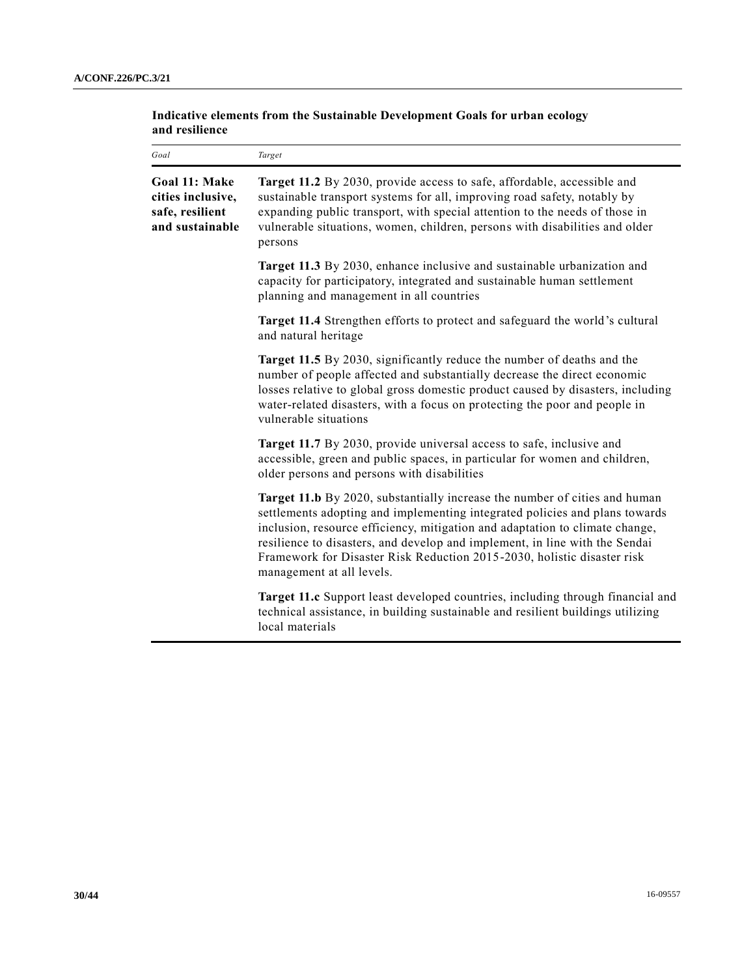### **Indicative elements from the Sustainable Development Goals for urban ecology and resilience**

| Goal                                                                     | Target                                                                                                                                                                                                                                                                                                                                                                                                                           |
|--------------------------------------------------------------------------|----------------------------------------------------------------------------------------------------------------------------------------------------------------------------------------------------------------------------------------------------------------------------------------------------------------------------------------------------------------------------------------------------------------------------------|
| Goal 11: Make<br>cities inclusive,<br>safe, resilient<br>and sustainable | Target 11.2 By 2030, provide access to safe, affordable, accessible and<br>sustainable transport systems for all, improving road safety, notably by<br>expanding public transport, with special attention to the needs of those in<br>vulnerable situations, women, children, persons with disabilities and older<br>persons                                                                                                     |
|                                                                          | Target 11.3 By 2030, enhance inclusive and sustainable urbanization and<br>capacity for participatory, integrated and sustainable human settlement<br>planning and management in all countries                                                                                                                                                                                                                                   |
|                                                                          | Target 11.4 Strengthen efforts to protect and safeguard the world's cultural<br>and natural heritage                                                                                                                                                                                                                                                                                                                             |
|                                                                          | Target 11.5 By 2030, significantly reduce the number of deaths and the<br>number of people affected and substantially decrease the direct economic<br>losses relative to global gross domestic product caused by disasters, including<br>water-related disasters, with a focus on protecting the poor and people in<br>vulnerable situations                                                                                     |
|                                                                          | Target 11.7 By 2030, provide universal access to safe, inclusive and<br>accessible, green and public spaces, in particular for women and children,<br>older persons and persons with disabilities                                                                                                                                                                                                                                |
|                                                                          | Target 11.b By 2020, substantially increase the number of cities and human<br>settlements adopting and implementing integrated policies and plans towards<br>inclusion, resource efficiency, mitigation and adaptation to climate change,<br>resilience to disasters, and develop and implement, in line with the Sendai<br>Framework for Disaster Risk Reduction 2015-2030, holistic disaster risk<br>management at all levels. |
|                                                                          | <b>Target 11.c</b> Support least developed countries, including through financial and<br>technical assistance, in building sustainable and resilient buildings utilizing<br>local materials                                                                                                                                                                                                                                      |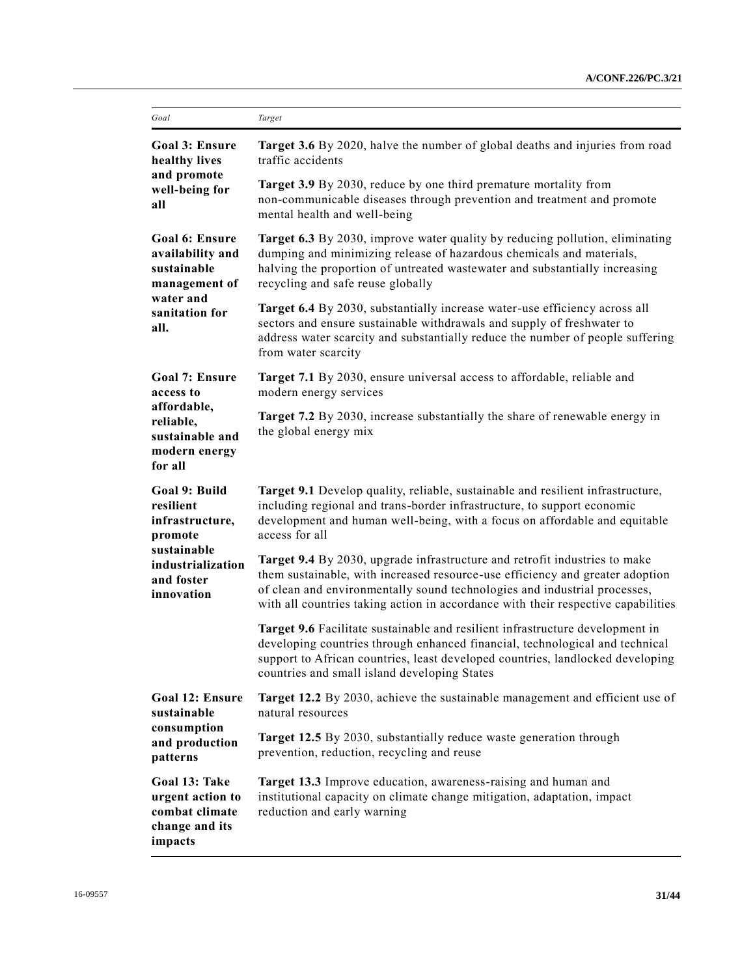| Goal                                                                                                                     | Target                                                                                                                                                                                                                                                                                                                        |  |
|--------------------------------------------------------------------------------------------------------------------------|-------------------------------------------------------------------------------------------------------------------------------------------------------------------------------------------------------------------------------------------------------------------------------------------------------------------------------|--|
| <b>Goal 3: Ensure</b><br>healthy lives<br>and promote<br>well-being for<br>all                                           | Target 3.6 By 2020, halve the number of global deaths and injuries from road<br>traffic accidents                                                                                                                                                                                                                             |  |
|                                                                                                                          | <b>Target 3.9</b> By 2030, reduce by one third premature mortality from<br>non-communicable diseases through prevention and treatment and promote<br>mental health and well-being                                                                                                                                             |  |
| <b>Goal 6: Ensure</b><br>availability and<br>sustainable<br>management of<br>water and<br>sanitation for<br>all.         | <b>Target 6.3</b> By 2030, improve water quality by reducing pollution, eliminating<br>dumping and minimizing release of hazardous chemicals and materials,<br>halving the proportion of untreated wastewater and substantially increasing<br>recycling and safe reuse globally                                               |  |
|                                                                                                                          | Target 6.4 By 2030, substantially increase water-use efficiency across all<br>sectors and ensure sustainable withdrawals and supply of freshwater to<br>address water scarcity and substantially reduce the number of people suffering<br>from water scarcity                                                                 |  |
| <b>Goal 7: Ensure</b><br>access to                                                                                       | Target 7.1 By 2030, ensure universal access to affordable, reliable and<br>modern energy services                                                                                                                                                                                                                             |  |
| affordable,<br>reliable,<br>sustainable and<br>modern energy<br>for all                                                  | Target 7.2 By 2030, increase substantially the share of renewable energy in<br>the global energy mix                                                                                                                                                                                                                          |  |
| Goal 9: Build<br>resilient<br>infrastructure,<br>promote<br>sustainable<br>industrialization<br>and foster<br>innovation | Target 9.1 Develop quality, reliable, sustainable and resilient infrastructure,<br>including regional and trans-border infrastructure, to support economic<br>development and human well-being, with a focus on affordable and equitable<br>access for all                                                                    |  |
|                                                                                                                          | Target 9.4 By 2030, upgrade infrastructure and retrofit industries to make<br>them sustainable, with increased resource-use efficiency and greater adoption<br>of clean and environmentally sound technologies and industrial processes,<br>with all countries taking action in accordance with their respective capabilities |  |
|                                                                                                                          | Target 9.6 Facilitate sustainable and resilient infrastructure development in<br>developing countries through enhanced financial, technological and technical<br>support to African countries, least developed countries, landlocked developing<br>countries and small island developing States                               |  |
| <b>Goal 12: Ensure</b><br>sustainable<br>consumption<br>and production<br>patterns                                       | Target 12.2 By 2030, achieve the sustainable management and efficient use of<br>natural resources                                                                                                                                                                                                                             |  |
|                                                                                                                          | Target 12.5 By 2030, substantially reduce waste generation through<br>prevention, reduction, recycling and reuse                                                                                                                                                                                                              |  |
| Goal 13: Take<br>urgent action to<br>combat climate<br>change and its<br>impacts                                         | Target 13.3 Improve education, awareness-raising and human and<br>institutional capacity on climate change mitigation, adaptation, impact<br>reduction and early warning                                                                                                                                                      |  |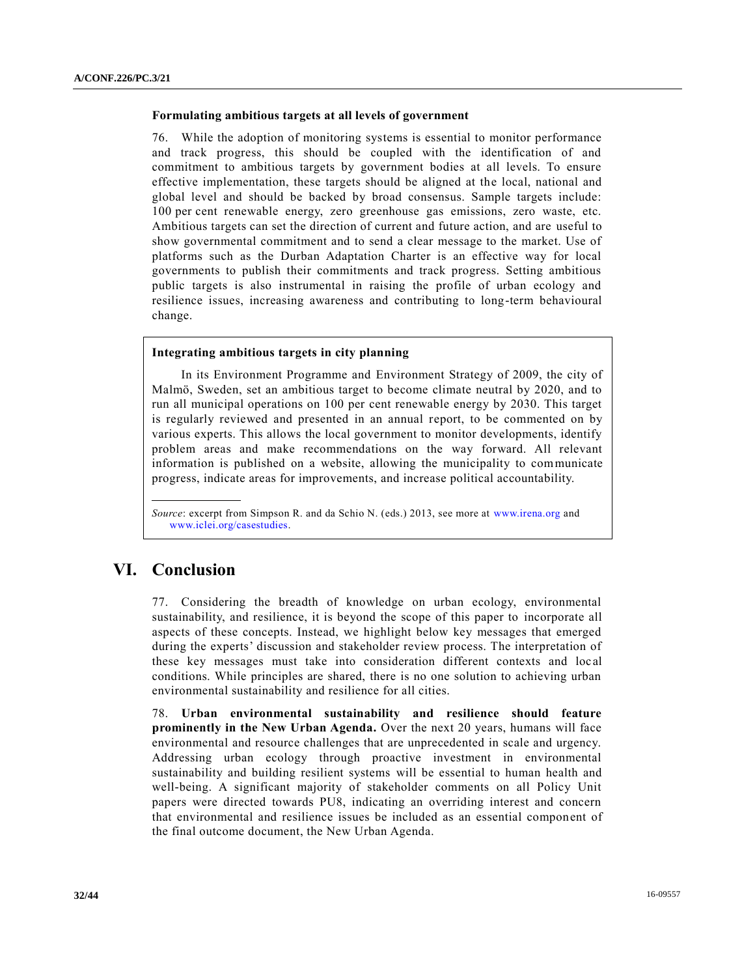### **Formulating ambitious targets at all levels of government**

76. While the adoption of monitoring systems is essential to monitor performance and track progress, this should be coupled with the identification of and commitment to ambitious targets by government bodies at all levels. To ensure effective implementation, these targets should be aligned at the local, national and global level and should be backed by broad consensus. Sample targets include: 100 per cent renewable energy, zero greenhouse gas emissions, zero waste, etc. Ambitious targets can set the direction of current and future action, and are useful to show governmental commitment and to send a clear message to the market. Use of platforms such as the Durban Adaptation Charter is an effective way for local governments to publish their commitments and track progress. Setting ambitious public targets is also instrumental in raising the profile of urban ecology and resilience issues, increasing awareness and contributing to long-term behavioural change.

### **Integrating ambitious targets in city planning**

In its Environment Programme and Environment Strategy of 2009, the city of Malmö, Sweden, set an ambitious target to become climate neutral by 2020, and to run all municipal operations on 100 per cent renewable energy by 2030. This target is regularly reviewed and presented in an annual report, to be commented on by various experts. This allows the local government to monitor developments, identify problem areas and make recommendations on the way forward. All relevant information is published on a website, allowing the municipality to communicate progress, indicate areas for improvements, and increase political accountability.

# **VI. Conclusion**

77. Considering the breadth of knowledge on urban ecology, environmental sustainability, and resilience, it is beyond the scope of this paper to incorporate all aspects of these concepts. Instead, we highlight below key messages that emerged during the experts' discussion and stakeholder review process. The interpretation of these key messages must take into consideration different contexts and local conditions. While principles are shared, there is no one solution to achieving urban environmental sustainability and resilience for all cities.

78. **Urban environmental sustainability and resilience should feature prominently in the New Urban Agenda.** Over the next 20 years, humans will face environmental and resource challenges that are unprecedented in scale and urgency. Addressing urban ecology through proactive investment in environmental sustainability and building resilient systems will be essential to human health and well-being. A significant majority of stakeholder comments on all Policy Unit papers were directed towards PU8, indicating an overriding interest and concern that environmental and resilience issues be included as an essential component of the final outcome document, the New Urban Agenda.

*Source*: excerpt from Simpson R. and da Schio N. (eds.) 2013, see more at [www.irena.org](http://www.irena.org/) and [www.iclei.org/casestudies.](http://www.iclei.org/casestudies)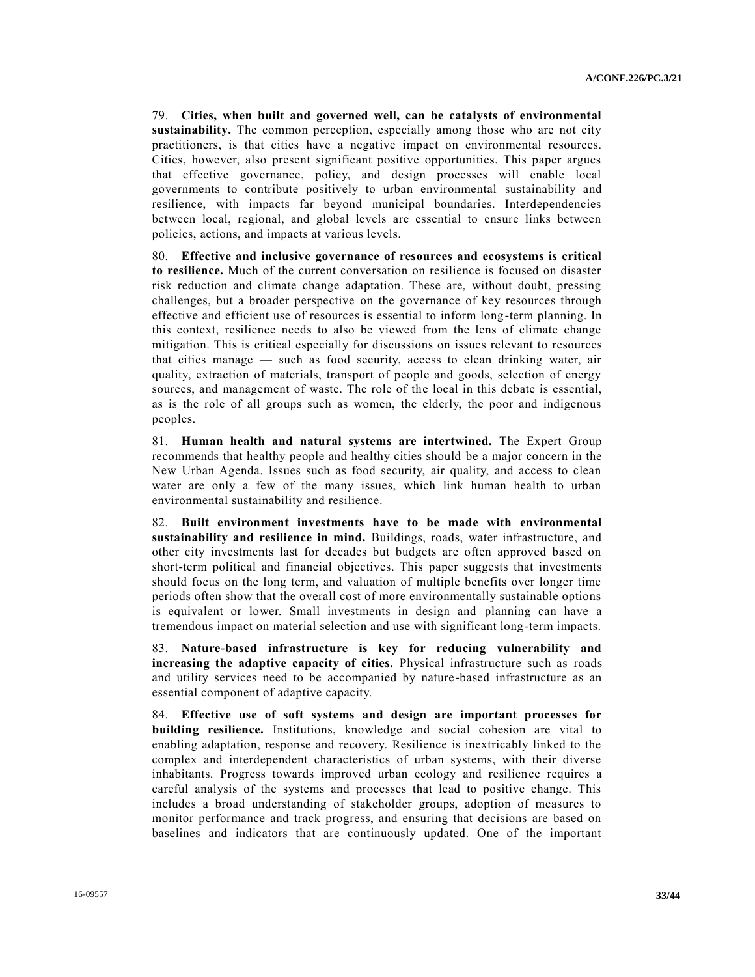79. **Cities, when built and governed well, can be catalysts of environmental sustainability.** The common perception, especially among those who are not city practitioners, is that cities have a negative impact on environmental resources. Cities, however, also present significant positive opportunities. This paper argues that effective governance, policy, and design processes will enable local governments to contribute positively to urban environmental sustainability and resilience, with impacts far beyond municipal boundaries. Interdependencies between local, regional, and global levels are essential to ensure links between policies, actions, and impacts at various levels.

80. **Effective and inclusive governance of resources and ecosystems is critical to resilience.** Much of the current conversation on resilience is focused on disaster risk reduction and climate change adaptation. These are, without doubt, pressing challenges, but a broader perspective on the governance of key resources through effective and efficient use of resources is essential to inform long-term planning. In this context, resilience needs to also be viewed from the lens of climate change mitigation. This is critical especially for discussions on issues relevant to resources that cities manage — such as food security, access to clean drinking water, air quality, extraction of materials, transport of people and goods, selection of energy sources, and management of waste. The role of the local in this debate is essential, as is the role of all groups such as women, the elderly, the poor and indigenous peoples.

81. **Human health and natural systems are intertwined.** The Expert Group recommends that healthy people and healthy cities should be a major concern in the New Urban Agenda. Issues such as food security, air quality, and access to clean water are only a few of the many issues, which link human health to urban environmental sustainability and resilience.

82. **Built environment investments have to be made with environmental sustainability and resilience in mind.** Buildings, roads, water infrastructure, and other city investments last for decades but budgets are often approved based on short-term political and financial objectives. This paper suggests that investments should focus on the long term, and valuation of multiple benefits over longer time periods often show that the overall cost of more environmentally sustainable options is equivalent or lower. Small investments in design and planning can have a tremendous impact on material selection and use with significant long-term impacts.

83. **Nature-based infrastructure is key for reducing vulnerability and increasing the adaptive capacity of cities.** Physical infrastructure such as roads and utility services need to be accompanied by nature-based infrastructure as an essential component of adaptive capacity.

84. **Effective use of soft systems and design are important processes for building resilience.** Institutions, knowledge and social cohesion are vital to enabling adaptation, response and recovery. Resilience is inextricably linked to the complex and interdependent characteristics of urban systems, with their diverse inhabitants. Progress towards improved urban ecology and resilience requires a careful analysis of the systems and processes that lead to positive change. This includes a broad understanding of stakeholder groups, adoption of measures to monitor performance and track progress, and ensuring that decisions are based on baselines and indicators that are continuously updated. One of the important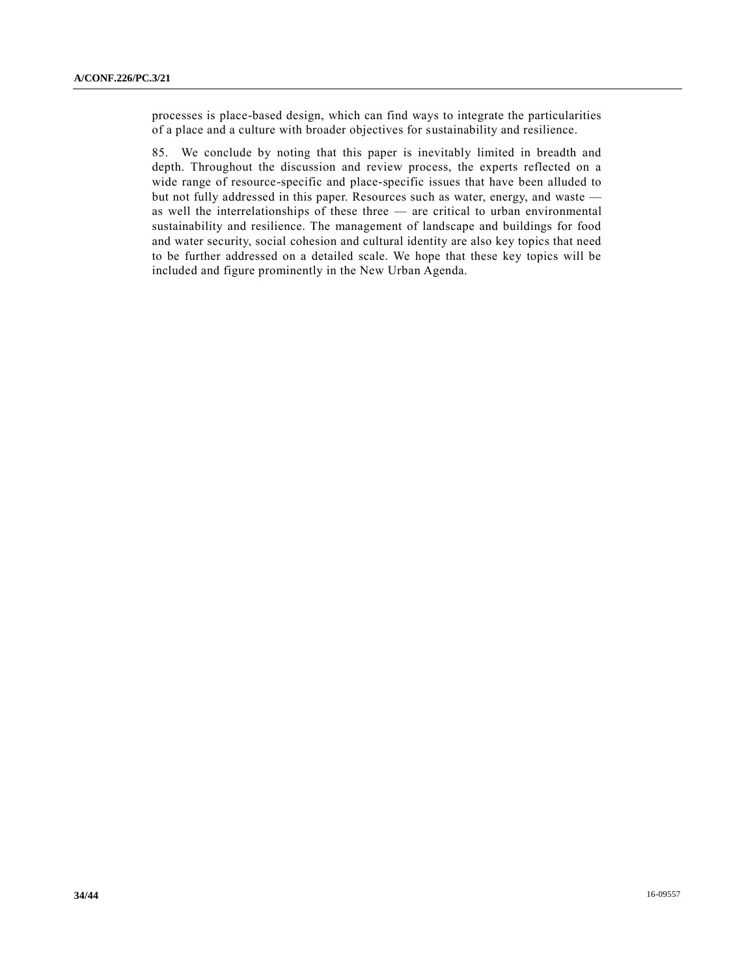processes is place-based design, which can find ways to integrate the particularities of a place and a culture with broader objectives for sustainability and resilience.

85. We conclude by noting that this paper is inevitably limited in breadth and depth. Throughout the discussion and review process, the experts reflected on a wide range of resource-specific and place-specific issues that have been alluded to but not fully addressed in this paper. Resources such as water, energy, and waste as well the interrelationships of these three — are critical to urban environmental sustainability and resilience. The management of landscape and buildings for food and water security, social cohesion and cultural identity are also key topics that need to be further addressed on a detailed scale. We hope that these key topics will be included and figure prominently in the New Urban Agenda.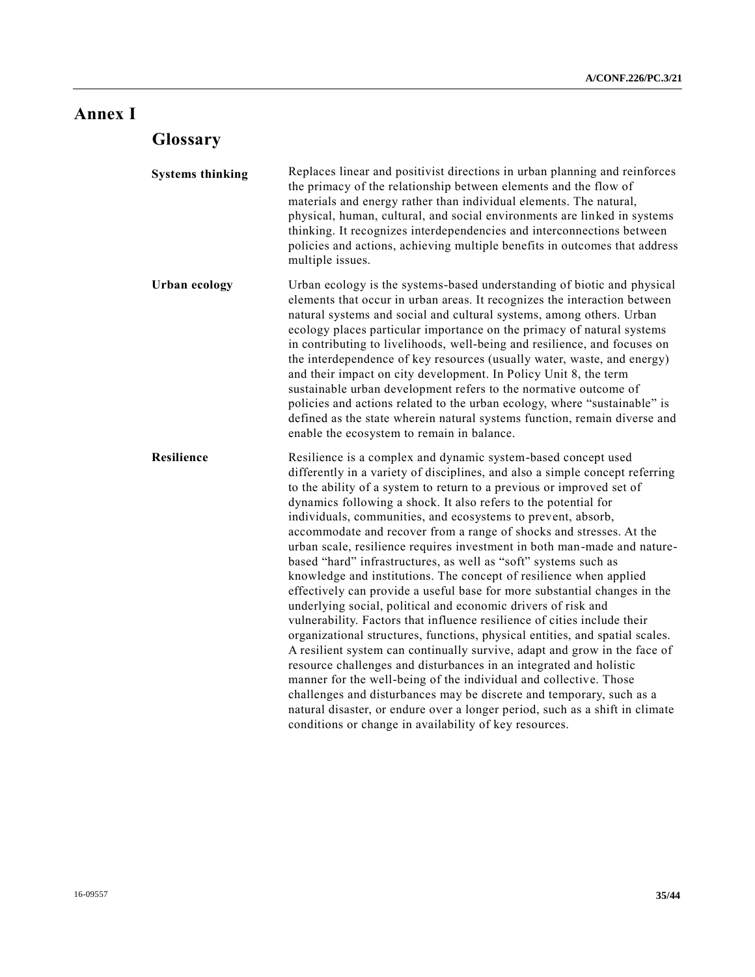# **Annex I**

# **Glossary**

| <b>Systems thinking</b> | Replaces linear and positivist directions in urban planning and reinforces<br>the primacy of the relationship between elements and the flow of<br>materials and energy rather than individual elements. The natural,<br>physical, human, cultural, and social environments are linked in systems<br>thinking. It recognizes interdependencies and interconnections between<br>policies and actions, achieving multiple benefits in outcomes that address<br>multiple issues.                                                                                                                                                                                                                                                                                                                                                                                                                                                                                                                                                                                                                                                                                                                                                                                                                                                                                                                              |
|-------------------------|-----------------------------------------------------------------------------------------------------------------------------------------------------------------------------------------------------------------------------------------------------------------------------------------------------------------------------------------------------------------------------------------------------------------------------------------------------------------------------------------------------------------------------------------------------------------------------------------------------------------------------------------------------------------------------------------------------------------------------------------------------------------------------------------------------------------------------------------------------------------------------------------------------------------------------------------------------------------------------------------------------------------------------------------------------------------------------------------------------------------------------------------------------------------------------------------------------------------------------------------------------------------------------------------------------------------------------------------------------------------------------------------------------------|
| <b>Urban ecology</b>    | Urban ecology is the systems-based understanding of biotic and physical<br>elements that occur in urban areas. It recognizes the interaction between<br>natural systems and social and cultural systems, among others. Urban<br>ecology places particular importance on the primacy of natural systems<br>in contributing to livelihoods, well-being and resilience, and focuses on<br>the interdependence of key resources (usually water, waste, and energy)<br>and their impact on city development. In Policy Unit 8, the term<br>sustainable urban development refers to the normative outcome of<br>policies and actions related to the urban ecology, where "sustainable" is<br>defined as the state wherein natural systems function, remain diverse and<br>enable the ecosystem to remain in balance.                                                                                                                                                                                                                                                                                                                                                                                                                                                                                                                                                                                            |
| Resilience              | Resilience is a complex and dynamic system-based concept used<br>differently in a variety of disciplines, and also a simple concept referring<br>to the ability of a system to return to a previous or improved set of<br>dynamics following a shock. It also refers to the potential for<br>individuals, communities, and ecosystems to prevent, absorb,<br>accommodate and recover from a range of shocks and stresses. At the<br>urban scale, resilience requires investment in both man-made and nature-<br>based "hard" infrastructures, as well as "soft" systems such as<br>knowledge and institutions. The concept of resilience when applied<br>effectively can provide a useful base for more substantial changes in the<br>underlying social, political and economic drivers of risk and<br>vulnerability. Factors that influence resilience of cities include their<br>organizational structures, functions, physical entities, and spatial scales.<br>A resilient system can continually survive, adapt and grow in the face of<br>resource challenges and disturbances in an integrated and holistic<br>manner for the well-being of the individual and collective. Those<br>challenges and disturbances may be discrete and temporary, such as a<br>natural disaster, or endure over a longer period, such as a shift in climate<br>conditions or change in availability of key resources. |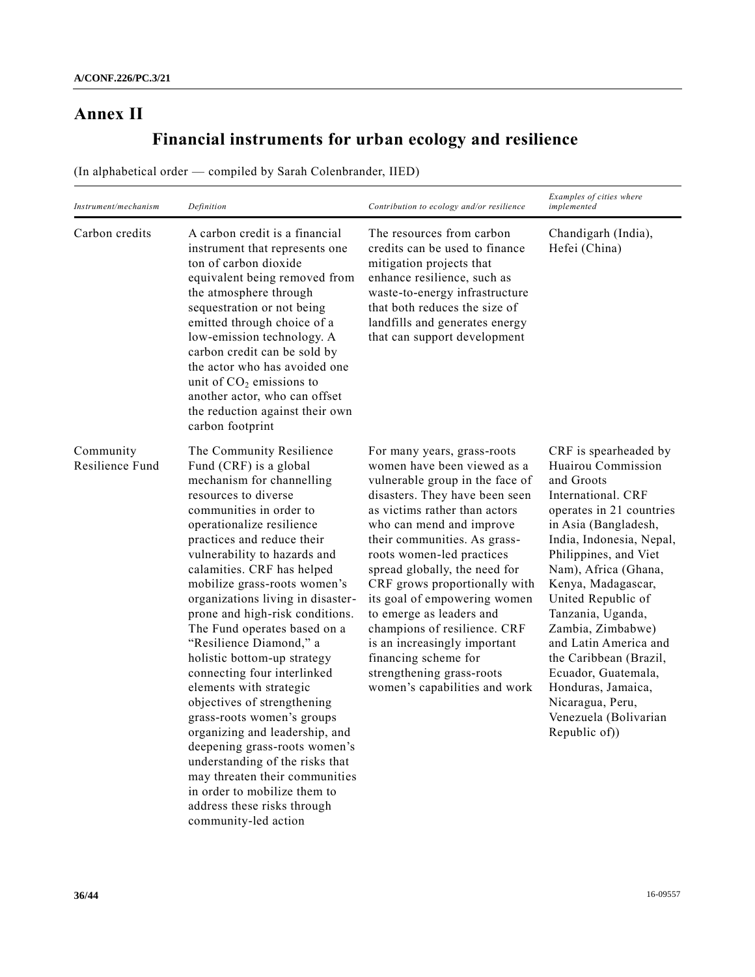# **Annex II**

# **Financial instruments for urban ecology and resilience**

(In alphabetical order — compiled by Sarah Colenbrander, IIED)

| Instrument/mechanism         | Definition                                                                                                                                                                                                                                                                                                                                                                                                                                                                                                                                                                                                                                                                                                                                                                                                          | Contribution to ecology and/or resilience                                                                                                                                                                                                                                                                                                                                                                                                                                                                                                     | Examples of cities where<br>implemented                                                                                                                                                                                                                                                                                                                                                                                                                             |
|------------------------------|---------------------------------------------------------------------------------------------------------------------------------------------------------------------------------------------------------------------------------------------------------------------------------------------------------------------------------------------------------------------------------------------------------------------------------------------------------------------------------------------------------------------------------------------------------------------------------------------------------------------------------------------------------------------------------------------------------------------------------------------------------------------------------------------------------------------|-----------------------------------------------------------------------------------------------------------------------------------------------------------------------------------------------------------------------------------------------------------------------------------------------------------------------------------------------------------------------------------------------------------------------------------------------------------------------------------------------------------------------------------------------|---------------------------------------------------------------------------------------------------------------------------------------------------------------------------------------------------------------------------------------------------------------------------------------------------------------------------------------------------------------------------------------------------------------------------------------------------------------------|
| Carbon credits               | A carbon credit is a financial<br>instrument that represents one<br>ton of carbon dioxide<br>equivalent being removed from<br>the atmosphere through<br>sequestration or not being<br>emitted through choice of a<br>low-emission technology. A<br>carbon credit can be sold by<br>the actor who has avoided one<br>unit of $CO2$ emissions to<br>another actor, who can offset<br>the reduction against their own<br>carbon footprint                                                                                                                                                                                                                                                                                                                                                                              | The resources from carbon<br>credits can be used to finance<br>mitigation projects that<br>enhance resilience, such as<br>waste-to-energy infrastructure<br>that both reduces the size of<br>landfills and generates energy<br>that can support development                                                                                                                                                                                                                                                                                   | Chandigarh (India),<br>Hefei (China)                                                                                                                                                                                                                                                                                                                                                                                                                                |
| Community<br>Resilience Fund | The Community Resilience<br>Fund (CRF) is a global<br>mechanism for channelling<br>resources to diverse<br>communities in order to<br>operationalize resilience<br>practices and reduce their<br>vulnerability to hazards and<br>calamities. CRF has helped<br>mobilize grass-roots women's<br>organizations living in disaster-<br>prone and high-risk conditions.<br>The Fund operates based on a<br>"Resilience Diamond," a<br>holistic bottom-up strategy<br>connecting four interlinked<br>elements with strategic<br>objectives of strengthening<br>grass-roots women's groups<br>organizing and leadership, and<br>deepening grass-roots women's<br>understanding of the risks that<br>may threaten their communities<br>in order to mobilize them to<br>address these risks through<br>community-led action | For many years, grass-roots<br>women have been viewed as a<br>vulnerable group in the face of<br>disasters. They have been seen<br>as victims rather than actors<br>who can mend and improve<br>their communities. As grass-<br>roots women-led practices<br>spread globally, the need for<br>CRF grows proportionally with<br>its goal of empowering women<br>to emerge as leaders and<br>champions of resilience. CRF<br>is an increasingly important<br>financing scheme for<br>strengthening grass-roots<br>women's capabilities and work | CRF is spearheaded by<br>Huairou Commission<br>and Groots<br>International. CRF<br>operates in 21 countries<br>in Asia (Bangladesh,<br>India, Indonesia, Nepal,<br>Philippines, and Viet<br>Nam), Africa (Ghana,<br>Kenya, Madagascar,<br>United Republic of<br>Tanzania, Uganda,<br>Zambia, Zimbabwe)<br>and Latin America and<br>the Caribbean (Brazil,<br>Ecuador, Guatemala,<br>Honduras, Jamaica,<br>Nicaragua, Peru,<br>Venezuela (Bolivarian<br>Republic of) |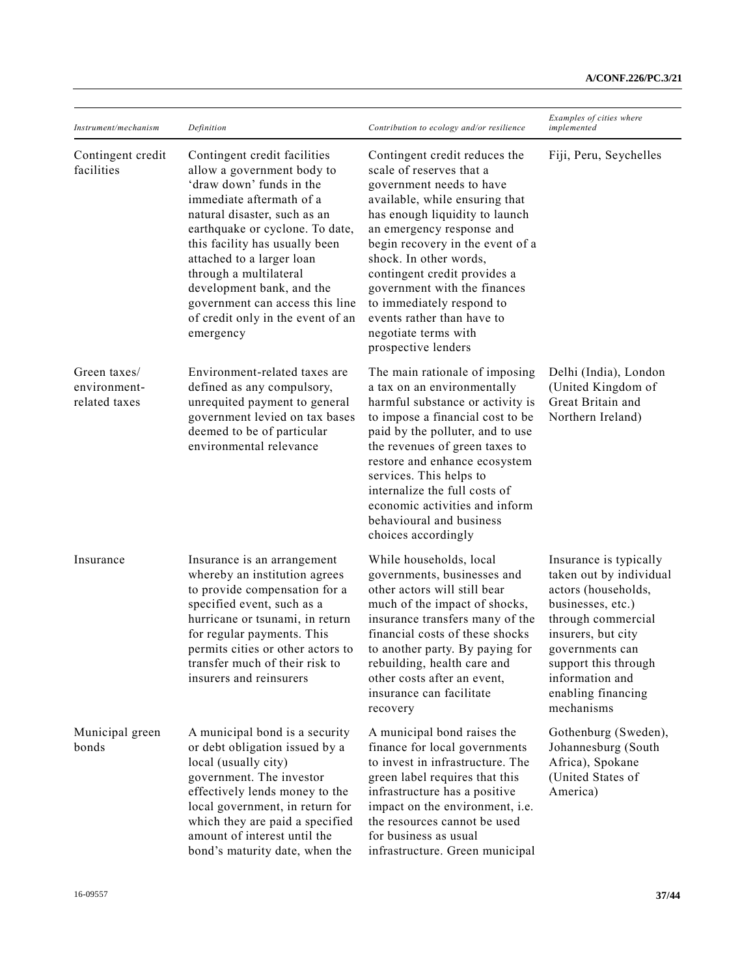| Instrument/mechanism                          | Definition                                                                                                                                                                                                                                                                                                                                                                                       | Contribution to ecology and/or resilience                                                                                                                                                                                                                                                                                                                                                                                      | Examples of cities where<br>implemented                                                                                                                                                                                                     |
|-----------------------------------------------|--------------------------------------------------------------------------------------------------------------------------------------------------------------------------------------------------------------------------------------------------------------------------------------------------------------------------------------------------------------------------------------------------|--------------------------------------------------------------------------------------------------------------------------------------------------------------------------------------------------------------------------------------------------------------------------------------------------------------------------------------------------------------------------------------------------------------------------------|---------------------------------------------------------------------------------------------------------------------------------------------------------------------------------------------------------------------------------------------|
| Contingent credit<br>facilities               | Contingent credit facilities<br>allow a government body to<br>'draw down' funds in the<br>immediate aftermath of a<br>natural disaster, such as an<br>earthquake or cyclone. To date,<br>this facility has usually been<br>attached to a larger loan<br>through a multilateral<br>development bank, and the<br>government can access this line<br>of credit only in the event of an<br>emergency | Contingent credit reduces the<br>scale of reserves that a<br>government needs to have<br>available, while ensuring that<br>has enough liquidity to launch<br>an emergency response and<br>begin recovery in the event of a<br>shock. In other words,<br>contingent credit provides a<br>government with the finances<br>to immediately respond to<br>events rather than have to<br>negotiate terms with<br>prospective lenders | Fiji, Peru, Seychelles                                                                                                                                                                                                                      |
| Green taxes/<br>environment-<br>related taxes | Environment-related taxes are<br>defined as any compulsory,<br>unrequited payment to general<br>government levied on tax bases<br>deemed to be of particular<br>environmental relevance                                                                                                                                                                                                          | The main rationale of imposing<br>a tax on an environmentally<br>harmful substance or activity is<br>to impose a financial cost to be<br>paid by the polluter, and to use<br>the revenues of green taxes to<br>restore and enhance ecosystem<br>services. This helps to<br>internalize the full costs of<br>economic activities and inform<br>behavioural and business<br>choices accordingly                                  | Delhi (India), London<br>(United Kingdom of<br>Great Britain and<br>Northern Ireland)                                                                                                                                                       |
| Insurance                                     | Insurance is an arrangement<br>whereby an institution agrees<br>to provide compensation for a<br>specified event, such as a<br>hurricane or tsunami, in return<br>for regular payments. This<br>permits cities or other actors to<br>transfer much of their risk to<br>insurers and reinsurers                                                                                                   | While households, local<br>governments, businesses and<br>other actors will still bear<br>much of the impact of shocks,<br>insurance transfers many of the<br>financial costs of these shocks<br>to another party. By paying for<br>rebuilding, health care and<br>other costs after an event,<br>insurance can facilitate<br>recovery                                                                                         | Insurance is typically<br>taken out by individual<br>actors (households,<br>businesses, etc.)<br>through commercial<br>insurers, but city<br>governments can<br>support this through<br>information and<br>enabling financing<br>mechanisms |
| Municipal green<br>bonds                      | A municipal bond is a security<br>or debt obligation issued by a<br>local (usually city)<br>government. The investor<br>effectively lends money to the<br>local government, in return for<br>which they are paid a specified<br>amount of interest until the<br>bond's maturity date, when the                                                                                                   | A municipal bond raises the<br>finance for local governments<br>to invest in infrastructure. The<br>green label requires that this<br>infrastructure has a positive<br>impact on the environment, i.e.<br>the resources cannot be used<br>for business as usual<br>infrastructure. Green municipal                                                                                                                             | Gothenburg (Sweden),<br>Johannesburg (South<br>Africa), Spokane<br>(United States of<br>America)                                                                                                                                            |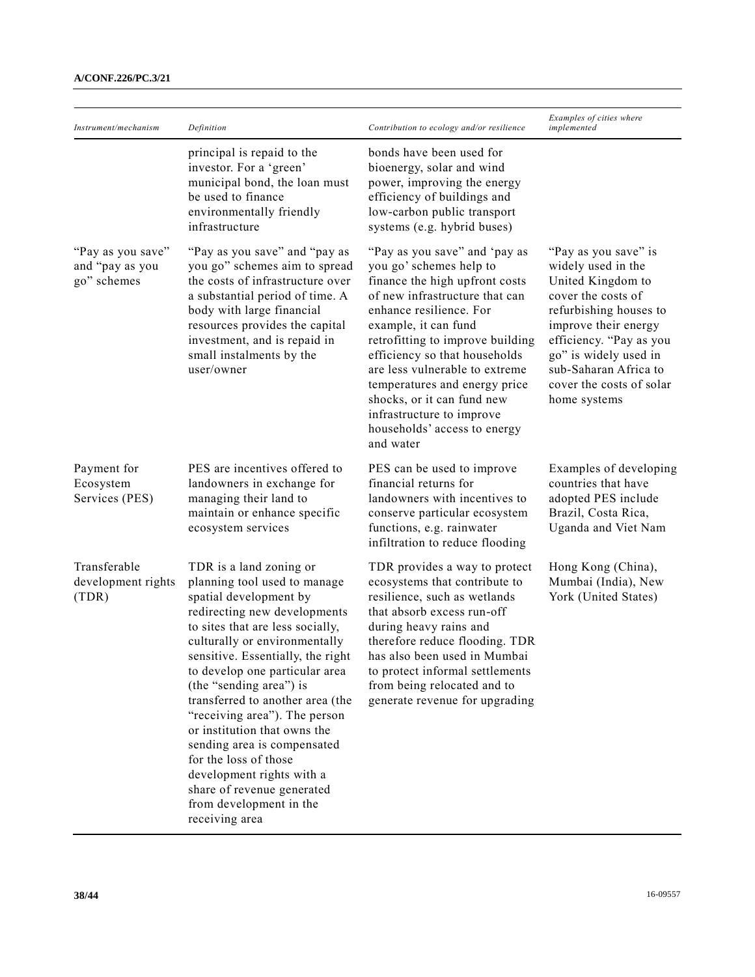| Instrument/mechanism                                | Definition                                                                                                                                                                                                                                                                                                                                                                                                                                                                                                                                                    | Contribution to ecology and/or resilience                                                                                                                                                                                                                                                                                                                                                                                       | Examples of cities where<br>implemented                                                                                                                                                                                                                          |
|-----------------------------------------------------|---------------------------------------------------------------------------------------------------------------------------------------------------------------------------------------------------------------------------------------------------------------------------------------------------------------------------------------------------------------------------------------------------------------------------------------------------------------------------------------------------------------------------------------------------------------|---------------------------------------------------------------------------------------------------------------------------------------------------------------------------------------------------------------------------------------------------------------------------------------------------------------------------------------------------------------------------------------------------------------------------------|------------------------------------------------------------------------------------------------------------------------------------------------------------------------------------------------------------------------------------------------------------------|
|                                                     | principal is repaid to the<br>investor. For a 'green'<br>municipal bond, the loan must<br>be used to finance<br>environmentally friendly<br>infrastructure                                                                                                                                                                                                                                                                                                                                                                                                    | bonds have been used for<br>bioenergy, solar and wind<br>power, improving the energy<br>efficiency of buildings and<br>low-carbon public transport<br>systems (e.g. hybrid buses)                                                                                                                                                                                                                                               |                                                                                                                                                                                                                                                                  |
| "Pay as you save"<br>and "pay as you<br>go" schemes | "Pay as you save" and "pay as<br>you go" schemes aim to spread<br>the costs of infrastructure over<br>a substantial period of time. A<br>body with large financial<br>resources provides the capital<br>investment, and is repaid in<br>small instalments by the<br>user/owner                                                                                                                                                                                                                                                                                | "Pay as you save" and 'pay as<br>you go' schemes help to<br>finance the high upfront costs<br>of new infrastructure that can<br>enhance resilience. For<br>example, it can fund<br>retrofitting to improve building<br>efficiency so that households<br>are less vulnerable to extreme<br>temperatures and energy price<br>shocks, or it can fund new<br>infrastructure to improve<br>households' access to energy<br>and water | "Pay as you save" is<br>widely used in the<br>United Kingdom to<br>cover the costs of<br>refurbishing houses to<br>improve their energy<br>efficiency. "Pay as you<br>go" is widely used in<br>sub-Saharan Africa to<br>cover the costs of solar<br>home systems |
| Payment for<br>Ecosystem<br>Services (PES)          | PES are incentives offered to<br>landowners in exchange for<br>managing their land to<br>maintain or enhance specific<br>ecosystem services                                                                                                                                                                                                                                                                                                                                                                                                                   | PES can be used to improve<br>financial returns for<br>landowners with incentives to<br>conserve particular ecosystem<br>functions, e.g. rainwater<br>infiltration to reduce flooding                                                                                                                                                                                                                                           | Examples of developing<br>countries that have<br>adopted PES include<br>Brazil, Costa Rica,<br>Uganda and Viet Nam                                                                                                                                               |
| Transferable<br>development rights<br>(TDR)         | TDR is a land zoning or<br>planning tool used to manage<br>spatial development by<br>redirecting new developments<br>to sites that are less socially,<br>culturally or environmentally<br>sensitive. Essentially, the right<br>to develop one particular area<br>(the "sending area") is<br>transferred to another area (the<br>"receiving area"). The person<br>or institution that owns the<br>sending area is compensated<br>for the loss of those<br>development rights with a<br>share of revenue generated<br>from development in the<br>receiving area | TDR provides a way to protect<br>ecosystems that contribute to<br>resilience, such as wetlands<br>that absorb excess run-off<br>during heavy rains and<br>therefore reduce flooding. TDR<br>has also been used in Mumbai<br>to protect informal settlements<br>from being relocated and to<br>generate revenue for upgrading                                                                                                    | Hong Kong (China),<br>Mumbai (India), New<br>York (United States)                                                                                                                                                                                                |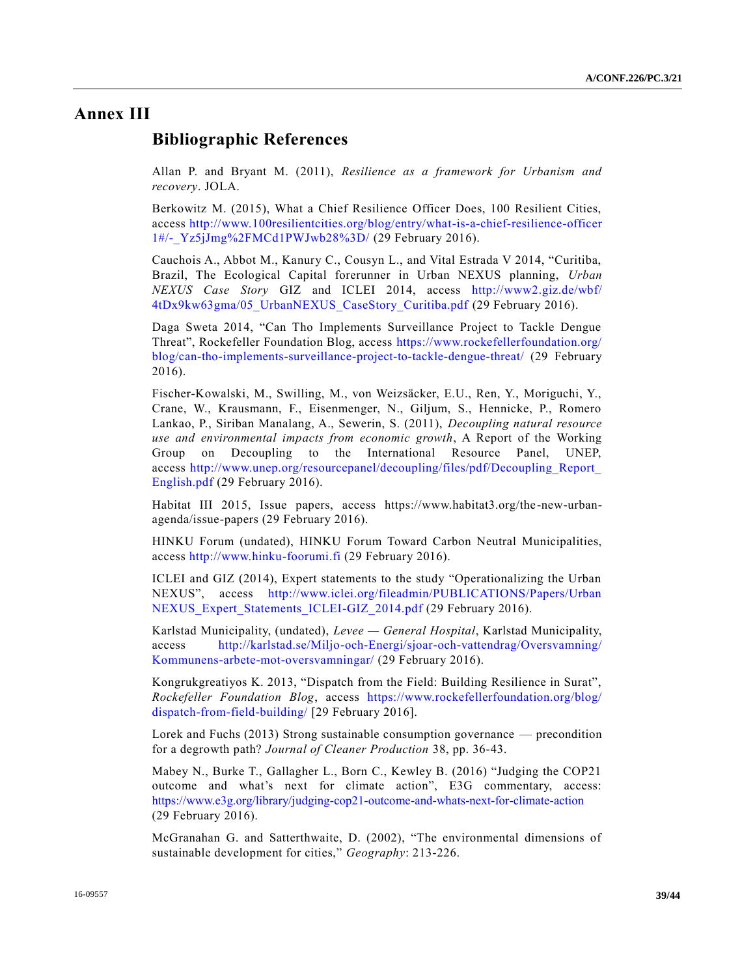# **Annex III**

### **Bibliographic References**

Allan P. and Bryant M. (2011), *Resilience as a framework for Urbanism and recovery*. JOLA.

Berkowitz M. (2015), What a Chief Resilience Officer Does, 100 Resilient Cities, access [http://www.100resilientcities.org/blog/entry/what-is-a-chief-resilience-officer](http://www.100resilientcities.org/blog/entry/what-is-a-chief-resilience-officer1#/-_Yz5jJmg%2FMCd1PWJwb28%3D/) [1#/-\\_Yz5jJmg%2FMCd1PWJwb28%3D/](http://www.100resilientcities.org/blog/entry/what-is-a-chief-resilience-officer1#/-_Yz5jJmg%2FMCd1PWJwb28%3D/) (29 February 2016).

Cauchois A., Abbot M., Kanury C., Cousyn L., and Vital Estrada V 2014, "Curitiba, Brazil, The Ecological Capital forerunner in Urban NEXUS planning, *Urban NEXUS Case Story* GIZ and ICLEI 2014, access [http://www2.giz.de/wbf/](http://www2.giz.de/wbf/4tDx9kw63gma/05_UrbanNEXUS_CaseStory_Curitiba.pdf) [4tDx9kw63gma/05\\_UrbanNEXUS\\_CaseStory\\_Curitiba.pdf](http://www2.giz.de/wbf/4tDx9kw63gma/05_UrbanNEXUS_CaseStory_Curitiba.pdf) (29 February 2016).

Daga Sweta 2014, "Can Tho Implements Surveillance Project to Tackle Dengue Threat", Rockefeller Foundation Blog, access [https://www.rockefellerfoundation.org/](https://www.rockefellerfoundation.org/blog/can-tho-implements-surveillance-project-to-tackle-dengue-threat/) [blog/can-tho-implements-surveillance-project-to-tackle-dengue-threat/](https://www.rockefellerfoundation.org/blog/can-tho-implements-surveillance-project-to-tackle-dengue-threat/) (29 February 2016).

Fischer-Kowalski, M., Swilling, M., von Weizsäcker, E.U., Ren, Y., Moriguchi, Y., Crane, W., Krausmann, F., Eisenmenger, N., Giljum, S., Hennicke, P., Romero Lankao, P., Siriban Manalang, A., Sewerin, S. (2011), *Decoupling natural resource use and environmental impacts from economic growth*, A Report of the Working Group on Decoupling to the International Resource Panel, UNEP, access [http://www.unep.org/resourcepanel/decoupling/files/pdf/Decoupling\\_Report\\_](http://www.unep.org/resourcepanel/decoupling/files/pdf/Decoupling_Report_English.pdf) [English.pdf](http://www.unep.org/resourcepanel/decoupling/files/pdf/Decoupling_Report_English.pdf) (29 February 2016).

Habitat III 2015, Issue papers, access https://www.habitat3.org/the -new-urbanagenda/issue-papers (29 February 2016).

HINKU Forum (undated), HINKU Forum Toward Carbon Neutral Municipalities, access [http://www.hinku-foorumi.fi](http://www.hinku-foorumi.fi/) (29 February 2016).

ICLEI and GIZ (2014), Expert statements to the study "Operationalizing the Urban NEXUS", access [http://www.iclei.org/fileadmin/PUBLICATIONS/Papers/Urban](http://www.iclei.org/fileadmin/PUBLICATIONS/Papers/UrbanNEXUS_Expert_Statements_ICLEI-GIZ_2014.pdf) NEXUS Expert Statements ICLEI-GIZ 2014.pdf (29 February 2016).

Karlstad Municipality, (undated), *Levee — General Hospital*, Karlstad Municipality, access [http://karlstad.se/Miljo-och-Energi/sjoar-och-vattendrag/Oversvamning/](http://karlstad.se/Miljo-och-Energi/sjoar-och-vattendrag/Oversvamning/Kommunens-arbete-mot-oversvamningar/) [Kommunens-arbete-mot-oversvamningar/](http://karlstad.se/Miljo-och-Energi/sjoar-och-vattendrag/Oversvamning/Kommunens-arbete-mot-oversvamningar/) (29 February 2016).

Kongrukgreatiyos K. 2013, "Dispatch from the Field: Building Resilience in Surat", *Rockefeller Foundation Blog*, access [https://www.rockefellerfoundation.org/blog/](https://www.rockefellerfoundation.org/blog/dispatch-from-field-building/) [dispatch-from-field-building/](https://www.rockefellerfoundation.org/blog/dispatch-from-field-building/) [29 February 2016].

Lorek and Fuchs (2013) Strong sustainable consumption governance — precondition for a degrowth path? *Journal of Cleaner Production* 38, pp. 36-43.

Mabey N., Burke T., Gallagher L., Born C., Kewley B. (2016) "Judging the COP21 outcome and what's next for climate action", E3G commentary, access: <https://www.e3g.org/library/judging-cop21-outcome-and-whats-next-for-climate-action> (29 February 2016).

McGranahan G. and Satterthwaite, D. (2002), "The environmental dimensions of sustainable development for cities," *Geography*: 213-226.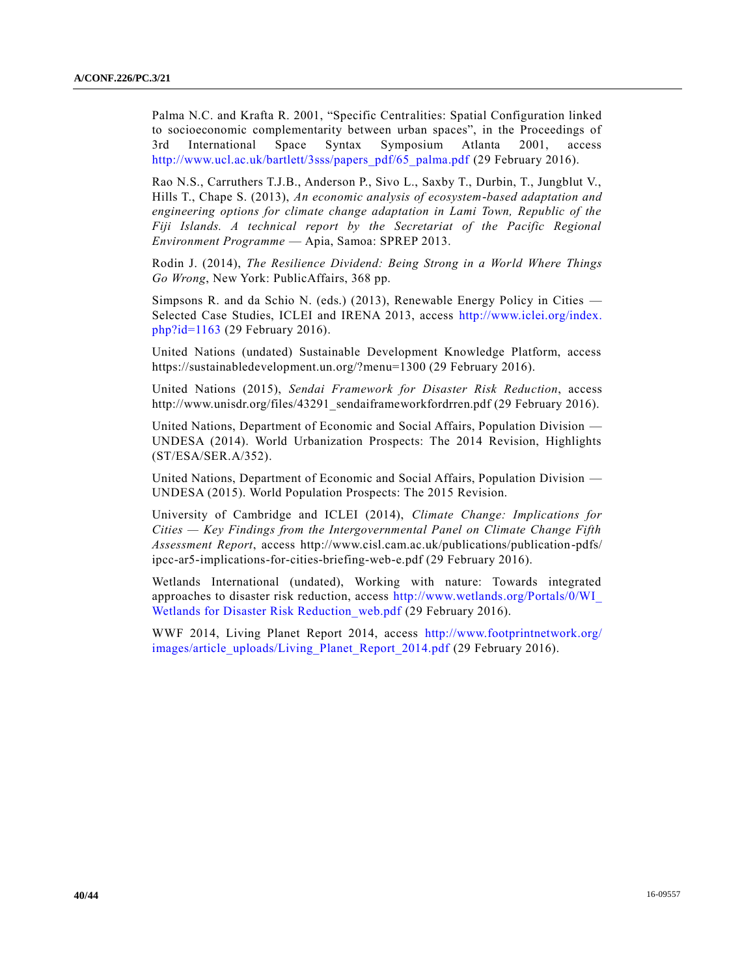Palma N.C. and Krafta R. 2001, "Specific Centralities: Spatial Configuration linked to socioeconomic complementarity between urban spaces", in the Proceedings of 3rd International Space Syntax Symposium Atlanta 2001, access [http://www.ucl.ac.uk/bartlett/3sss/papers\\_pdf/65\\_palma.pdf](http://www.ucl.ac.uk/bartlett/3sss/papers_pdf/65_palma.pdf) (29 February 2016).

Rao N.S., Carruthers T.J.B., Anderson P., Sivo L., Saxby T., Durbin, T., Jungblut V., Hills T., Chape S. (2013), *An economic analysis of ecosystem-based adaptation and engineering options for climate change adaptation in Lami Town, Republic of the Fiji Islands. A technical report by the Secretariat of the Pacific Regional Environment Programme* — Apia, Samoa: SPREP 2013.

Rodin J. (2014), *The Resilience Dividend: Being Strong in a World Where Things Go Wrong*, New York: PublicAffairs, 368 pp.

Simpsons R. and da Schio N. (eds.) (2013), Renewable Energy Policy in Cities — Selected Case Studies, ICLEI and IRENA 2013, access [http://www.iclei.org/index.](http://www.iclei.org/index.php?id=1163) [php?id=1163](http://www.iclei.org/index.php?id=1163) (29 February 2016).

United Nations (undated) Sustainable Development Knowledge Platform, access https://sustainabledevelopment.un.org/?menu=1300 (29 February 2016).

United Nations (2015), *Sendai Framework for Disaster Risk Reduction*, access http://www.unisdr.org/files/43291\_sendaiframeworkfordrren.pdf (29 February 2016).

United Nations, Department of Economic and Social Affairs, Population Division — UNDESA (2014). World Urbanization Prospects: The 2014 Revision, Highlights (ST/ESA/SER.A/352[\).](http://undocs.org/ST/ESA/SER.A/352)

United Nations, Department of Economic and Social Affairs, Population Division — UNDESA (2015). World Population Prospects: The 2015 Revision.

University of Cambridge and ICLEI (2014), *Climate Change: Implications for Cities — Key Findings from the Intergovernmental Panel on Climate Change Fifth Assessment Report*, access http://www.cisl.cam.ac.uk/publications/publication-pdfs/ ipcc-ar5-implications-for-cities-briefing-web-e.pdf (29 February 2016).

Wetlands International (undated), Working with nature: Towards integrated approaches to disaster risk reduction, access [http://www.wetlands.org/Portals/0/WI\\_](http://www.wetlands.org/Portals/0/WI_Wetlands%20for%20Disaster%20Risk%20Reduction_web.pdf) Wetlands for Disaster Risk Reduction web.pdf (29 February 2016).

WWF 2014, Living Planet Report 2014, access [http://www.footprintnetwork.org/](http://www.footprintnetwork.org/images/article_uploads/Living_Planet_Report_2014.pdf) [images/article\\_uploads/Living\\_Planet\\_Report\\_2014.pdf](http://www.footprintnetwork.org/images/article_uploads/Living_Planet_Report_2014.pdf) (29 February 2016).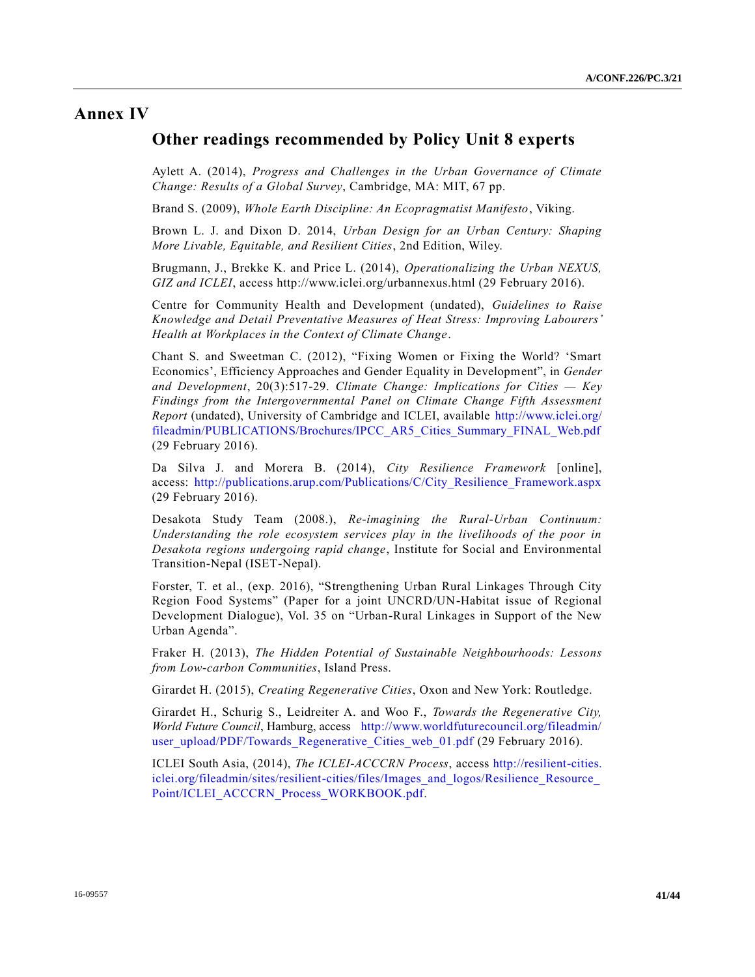## **Annex IV**

### **Other readings recommended by Policy Unit 8 experts**

Aylett A. (2014), *Progress and Challenges in the Urban Governance of Climate Change: Results of a Global Survey*, Cambridge, MA: MIT, 67 pp.

Brand S. (2009), *Whole Earth Discipline: An Ecopragmatist Manifesto*, Viking.

Brown L. J. and Dixon D. 2014, *Urban Design for an Urban Century: Shaping More Livable, Equitable, and Resilient Cities*, 2nd Edition, Wiley.

Brugmann, J., Brekke K. and Price L. (2014), *Operationalizing the Urban NEXUS, GIZ and ICLEI*, access http://www.iclei.org/urbannexus.html (29 February 2016).

Centre for Community Health and Development (undated), *Guidelines to Raise Knowledge and Detail Preventative Measures of Heat Stress: Improving Labourers' Health at Workplaces in the Context of Climate Change*.

Chant S. and Sweetman C. (2012), "Fixing Women or Fixing the World? 'Smart Economics', Efficiency Approaches and Gender Equality in Development", in *Gender and Development*, 20(3):517-29. *Climate Change: Implications for Cities — Key Findings from the Intergovernmental Panel on Climate Change Fifth Assessment Report* (undated), University of Cambridge and ICLEI, available [http://www.iclei.org/](http://www.iclei.org/fileadmin/PUBLICATIONS/Brochures/IPCC_AR5_Cities_Summary_FINAL_Web.pdf) [fileadmin/PUBLICATIONS/Brochures/IPCC\\_AR5\\_Cities\\_Summary\\_FINAL\\_Web.pdf](http://www.iclei.org/fileadmin/PUBLICATIONS/Brochures/IPCC_AR5_Cities_Summary_FINAL_Web.pdf) (29 February 2016).

Da Silva J. and Morera B. (2014), *City Resilience Framework* [online], access: [http://publications.arup.com/Publications/C/City\\_Resilience\\_Framework.aspx](http://publications.arup.com/Publications/C/City_Resilience_Framework.aspx) (29 February 2016).

Desakota Study Team (2008.), *Re-imagining the Rural-Urban Continuum: Understanding the role ecosystem services play in the livelihoods of the poor in Desakota regions undergoing rapid change*, Institute for Social and Environmental Transition-Nepal (ISET-Nepal).

Forster, T. et al., (exp. 2016), "Strengthening Urban Rural Linkages Through City Region Food Systems" (Paper for a joint UNCRD/UN-Habitat issue of Regional Development Dialogue), Vol. 35 on "Urban-Rural Linkages in Support of the New Urban Agenda".

Fraker H. (2013), *The Hidden Potential of Sustainable Neighbourhoods: Lessons from Low-carbon Communities*, Island Press.

Girardet H. (2015), *Creating Regenerative Cities*, Oxon and New York: Routledge.

Girardet H., Schurig S., Leidreiter A. and Woo F., *Towards the Regenerative City, World Future Council*, Hamburg, access [http://www.worldfuturecouncil.org/fileadmin/](http://www.worldfuturecouncil.org/fileadmin/user_upload/PDF/Towards_Regenerative_Cities_web_01.pdf) [user\\_upload/PDF/Towards\\_Regenerative\\_Cities\\_web\\_01.pdf](http://www.worldfuturecouncil.org/fileadmin/user_upload/PDF/Towards_Regenerative_Cities_web_01.pdf) (29 February 2016).

ICLEI South Asia, (2014), *The ICLEI-ACCCRN Process*, access [http://resilient-cities.](http://resilient-cities.iclei.org/fileadmin/sites/resilient-cities/files/Images_and_logos/Resilience_Resource_Point/ICLEI_ACCCRN_Process_WORKBOOK.pdf) [iclei.org/fileadmin/sites/resilient-cities/files/Images\\_and\\_logos/Resilience\\_Resource\\_](http://resilient-cities.iclei.org/fileadmin/sites/resilient-cities/files/Images_and_logos/Resilience_Resource_Point/ICLEI_ACCCRN_Process_WORKBOOK.pdf) [Point/ICLEI\\_ACCCRN\\_Process\\_WORKBOOK.pdf.](http://resilient-cities.iclei.org/fileadmin/sites/resilient-cities/files/Images_and_logos/Resilience_Resource_Point/ICLEI_ACCCRN_Process_WORKBOOK.pdf)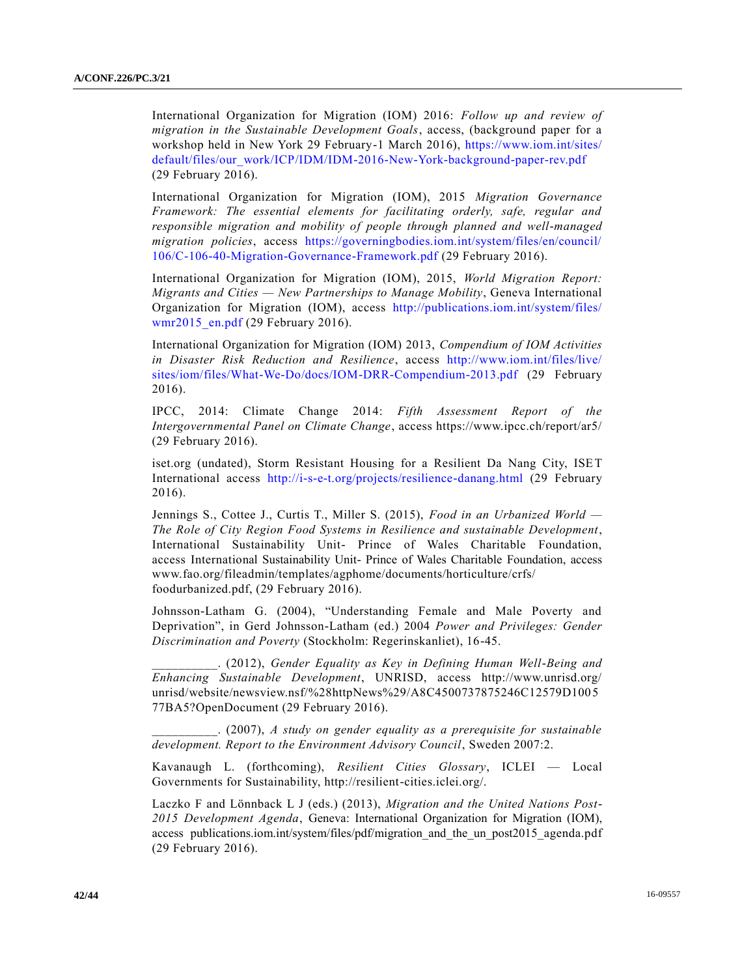International Organization for Migration (IOM) 2016: *Follow up and review of migration in the Sustainable Development Goals*, access, (background paper for a workshop held in New York 29 February-1 March 2016), [https://www.iom.int/sites/](https://www.iom.int/sites/default/files/our_work/ICP/IDM/IDM-2016-New-York-background-paper-rev.pdf) [default/files/our\\_work/ICP/IDM/IDM-2016-New-York-background-paper-rev.pdf](https://www.iom.int/sites/default/files/our_work/ICP/IDM/IDM-2016-New-York-background-paper-rev.pdf) (29 February 2016).

International Organization for Migration (IOM), 2015 *Migration Governance Framework: The essential elements for facilitating orderly, safe, regular and responsible migration and mobility of people through planned and well-managed migration policies*, access [https://governingbodies.iom.int/system/files/en/council/](https://governingbodies.iom.int/system/files/en/council/106/C-106-40-Migration-Governance-Framework.pdf) [106/C-106-40-Migration-Governance-Framework.pdf](https://governingbodies.iom.int/system/files/en/council/106/C-106-40-Migration-Governance-Framework.pdf) (29 February 2016).

International Organization for Migration (IOM), 2015, *World Migration Report: Migrants and Cities — New Partnerships to Manage Mobility*, Geneva International Organization for Migration (IOM), access [http://publications.iom.int/system/files/](http://publications.iom.int/system/files/wmr2015_en.pdf) [wmr2015\\_en.pdf](http://publications.iom.int/system/files/wmr2015_en.pdf) (29 February 2016).

International Organization for Migration (IOM) 2013, *Compendium of IOM Activities in Disaster Risk Reduction and Resilience*, access [http://www.iom.int/files/live/](http://www.iom.int/files/live/sites/iom/files/What-We-Do/docs/IOM-DRR-Compendium-2013.pdf) [sites/iom/files/What-We-Do/docs/IOM-DRR-Compendium-2013.pdf](http://www.iom.int/files/live/sites/iom/files/What-We-Do/docs/IOM-DRR-Compendium-2013.pdf) (29 February 2016).

IPCC, 2014: Climate Change 2014: *Fifth Assessment Report of the Intergovernmental Panel on Climate Change*, access https://www.ipcc.ch/report/ar5/ (29 February 2016).

iset.org (undated), Storm Resistant Housing for a Resilient Da Nang City, ISET International access <http://i-s-e-t.org/projects/resilience-danang.html> (29 February 2016).

Jennings S., Cottee J., Curtis T., Miller S. (2015), *Food in an Urbanized World — The Role of City Region Food Systems in Resilience and sustainable Development*, International Sustainability Unit- Prince of Wales Charitable Foundation, access International Sustainability Unit- Prince of Wales Charitable Foundation, access www.fao.org/fileadmin/templates/agphome/documents/horticulture/crfs/ foodurbanized.pdf, (29 February 2016).

Johnsson-Latham G. (2004), "Understanding Female and Male Poverty and Deprivation", in Gerd Johnsson-Latham (ed.) 2004 *Power and Privileges: Gender Discrimination and Poverty* (Stockholm: Regerinskanliet), 16-45.

\_\_\_\_\_\_\_\_\_\_. (2012), *Gender Equality as Key in Defining Human Well-Being and Enhancing Sustainable Development*, UNRISD, access http://www.unrisd.org/ unrisd/website/newsview.nsf/%28httpNews%29/A8C4500737875246C12579D1005 77BA5?OpenDocument (29 February 2016).

\_\_\_\_\_\_\_\_\_\_. (2007), *A study on gender equality as a prerequisite for sustainable development. Report to the Environment Advisory Council*, Sweden 2007:2.

Kavanaugh L. (forthcoming), *Resilient Cities Glossary*, ICLEI — Local Governments for Sustainability, http://resilient-cities.iclei.org/.

Laczko F and Lönnback L J (eds.) (2013), *Migration and the United Nations Post-2015 Development Agenda*, Geneva: International Organization for Migration (IOM), access publications.iom.int/system/files/pdf/migration\_and\_the\_un\_post2015\_agenda.pdf (29 February 2016).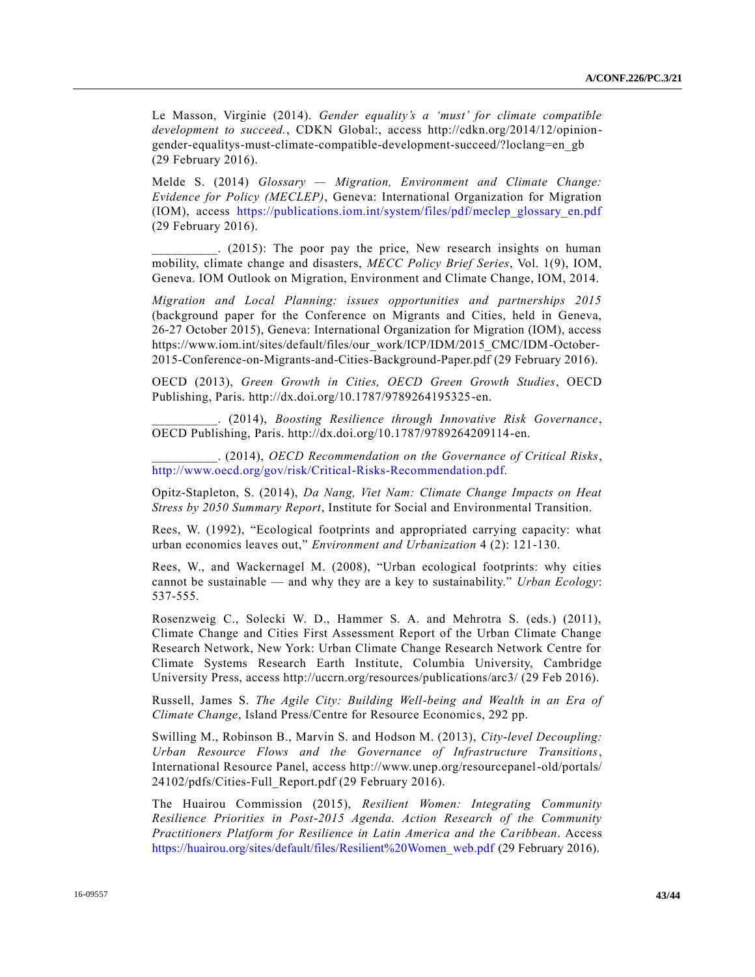Le Masson, Virginie (2014). *Gender equality's a 'must' for climate compatible development to succeed.*, CDKN Global:, access http://cdkn.org/2014/12/opiniongender-equalitys-must-climate-compatible-development-succeed/?loclang=en\_gb (29 February 2016).

Melde S. (2014) *Glossary — Migration, Environment and Climate Change: Evidence for Policy (MECLEP)*, Geneva: International Organization for Migration (IOM), access [https://publications.iom.int/system/files/pdf/meclep\\_glossary\\_en.pdf](https://publications.iom.int/system/files/pdf/meclep_glossary_en.pdf) (29 February 2016).

\_\_\_\_\_\_\_\_\_\_. (2015): The poor pay the price, New research insights on human mobility, climate change and disasters, *MECC Policy Brief Series*, Vol. 1(9), IOM, Geneva. IOM Outlook on Migration, Environment and Climate Change, IOM, 2014.

*Migration and Local Planning: issues opportunities and partnerships 2015*  (background paper for the Conference on Migrants and Cities, held in Geneva, 26-27 October 2015), Geneva: International Organization for Migration (IOM), access https://www.iom.int/sites/default/files/our\_work/ICP/IDM/2015\_CMC/IDM-October-2015-Conference-on-Migrants-and-Cities-Background-Paper.pdf (29 February 2016).

OECD (2013), *Green Growth in Cities, OECD Green Growth Studies*, OECD Publishing, Paris. http://dx.doi.org/10.1787/9789264195325-en.

\_\_\_\_\_\_\_\_\_\_. (2014), *Boosting Resilience through Innovative Risk Governance*, OECD Publishing, Paris. http://dx.doi.org/10.1787/9789264209114-en.

\_\_\_\_\_\_\_\_\_\_. (2014), *OECD Recommendation on the Governance of Critical Risks*, [http://www.oecd.org/gov/risk/Critical-Risks-Recommendation.pdf.](http://www.oecd.org/gov/risk/Critical-Risks-Recommendation.pdf)

Opitz-Stapleton, S. (2014), *Da Nang, Viet Nam: Climate Change Impacts on Heat Stress by 2050 Summary Report*, Institute for Social and Environmental Transition.

Rees, W. (1992), "Ecological footprints and appropriated carrying capacity: what urban economics leaves out," *Environment and Urbanization* 4 (2): 121-130.

Rees, W., and Wackernagel M. (2008), "Urban ecological footprints: why cities cannot be sustainable — and why they are a key to sustainability." *Urban Ecology*: 537-555.

Rosenzweig C., Solecki W. D., Hammer S. A. and Mehrotra S. (eds.) (2011), Climate Change and Cities First Assessment Report of the Urban Climate Change Research Network, New York: Urban Climate Change Research Network Centre for Climate Systems Research Earth Institute, Columbia University, Cambridge University Press, access http://uccrn.org/resources/publications/arc3/ (29 Feb 2016).

Russell, James S. *The Agile City: Building Well-being and Wealth in an Era of Climate Change*, Island Press/Centre for Resource Economics, 292 pp.

Swilling M., Robinson B., Marvin S. and Hodson M. (2013), *City-level Decoupling: Urban Resource Flows and the Governance of Infrastructure Transitions*, International Resource Panel, access http://www.unep.org/resourcepanel-old/portals/ 24102/pdfs/Cities-Full\_Report.pdf (29 February 2016).

The Huairou Commission (2015), *Resilient Women: Integrating Community Resilience Priorities in Post-2015 Agenda. Action Research of the Community Practitioners Platform for Resilience in Latin America and the Caribbean*. Access [https://huairou.org/sites/default/files/Resilient%20Women\\_web.pdf](https://huairou.org/sites/default/files/Resilient%20Women_web.pdf) (29 February 2016).